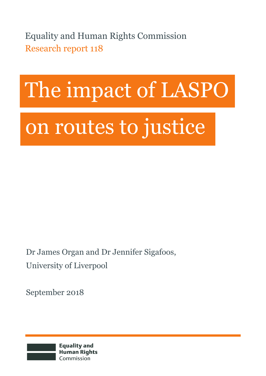Equality and Human Rights Commission Research report 118

# The impact of LASPO

# on routes to justice

Dr James Organ and Dr Jennifer Sigafoos, University of Liverpool

September 2018

**Equality and Human Rights** Commission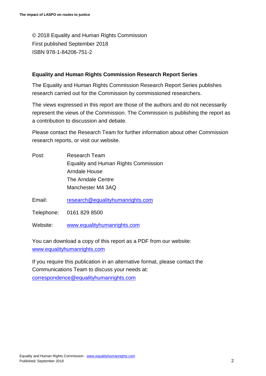© 2018 Equality and Human Rights Commission First published September 2018 ISBN 978-1-84206-751-2

#### **Equality and Human Rights Commission Research Report Series**

The Equality and Human Rights Commission Research Report Series publishes research carried out for the Commission by commissioned researchers.

The views expressed in this report are those of the authors and do not necessarily represent the views of the Commission. The Commission is publishing the report as a contribution to discussion and debate.

Please contact the Research Team for further information about other Commission research reports, or visit our website.

- Post: Research Team Equality and Human Rights Commission Arndale House The Arndale Centre Manchester M4 3AQ
- Email: [research@equalityhumanrights.com](mailto:research@equalityhumanrights.com)

Telephone: 0161 829 8500

Website: [www.equalityhumanrights.com](http://www.equalityhumanrights.com/) 

You can download a copy of this report as a PDF from our website: [www.equalityhumanrights.com](http://www.equalityhumanrights.com/) 

If you require this publication in an alternative format, please contact the Communications Team to discuss your needs at: [correspondence@equalityhumanrights.com](mailto:correspondence@equalityhumanrights.com)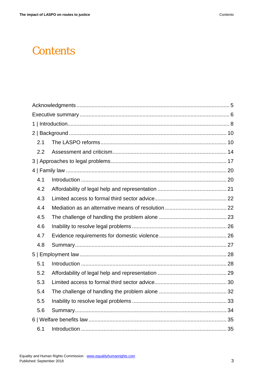# **Contents**

| 2.1 |  |  |  |
|-----|--|--|--|
| 2.2 |  |  |  |
|     |  |  |  |
|     |  |  |  |
| 4.1 |  |  |  |
| 4.2 |  |  |  |
| 4.3 |  |  |  |
| 4.4 |  |  |  |
| 4.5 |  |  |  |
| 4.6 |  |  |  |
| 4.7 |  |  |  |
| 4.8 |  |  |  |
|     |  |  |  |
| 5.1 |  |  |  |
| 5.2 |  |  |  |
| 5.3 |  |  |  |
| 5.4 |  |  |  |
| 5.5 |  |  |  |
| 5.6 |  |  |  |
|     |  |  |  |
| 6.1 |  |  |  |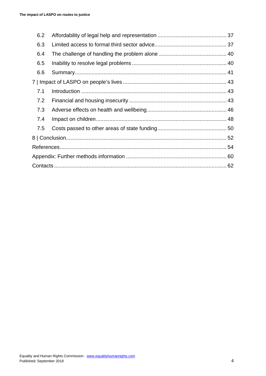| 6.3<br>6.4<br>6.5<br>6.6<br>7.1<br>7.2<br>7.3<br>7.4<br>7.5 | 6.2 |  |  |
|-------------------------------------------------------------|-----|--|--|
|                                                             |     |  |  |
|                                                             |     |  |  |
|                                                             |     |  |  |
|                                                             |     |  |  |
|                                                             |     |  |  |
|                                                             |     |  |  |
|                                                             |     |  |  |
|                                                             |     |  |  |
|                                                             |     |  |  |
|                                                             |     |  |  |
|                                                             |     |  |  |
|                                                             |     |  |  |
|                                                             |     |  |  |
|                                                             |     |  |  |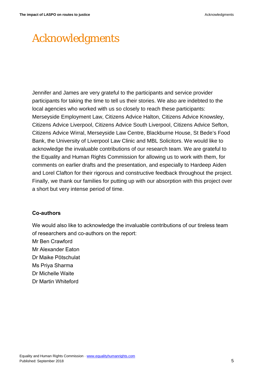# <span id="page-4-0"></span>Acknowledgments

Jennifer and James are very grateful to the participants and service provider participants for taking the time to tell us their stories. We also are indebted to the local agencies who worked with us so closely to reach these participants: Merseyside Employment Law, Citizens Advice Halton, Citizens Advice Knowsley, Citizens Advice Liverpool, Citizens Advice South Liverpool, Citizens Advice Sefton, Citizens Advice Wirral, Merseyside Law Centre, Blackburne House, St Bede's Food Bank, the University of Liverpool Law Clinic and MBL Solicitors. We would like to acknowledge the invaluable contributions of our research team. We are grateful to the Equality and Human Rights Commission for allowing us to work with them, for comments on earlier drafts and the presentation, and especially to Hardeep Aiden and Lorel Clafton for their rigorous and constructive feedback throughout the project. Finally, we thank our families for putting up with our absorption with this project over a short but very intense period of time.

#### **Co-authors**

We would also like to acknowledge the invaluable contributions of our tireless team of researchers and co-authors on the report:

Mr Ben Crawford

Mr Alexander Eaton

Dr Maike Pötschulat

Ms Priya Sharma

Dr Michelle Waite

Dr Martin Whiteford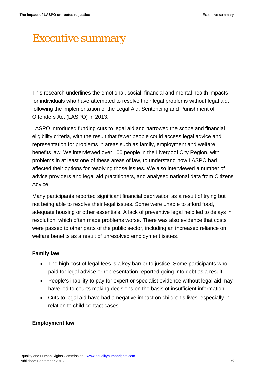# <span id="page-5-0"></span>Executive summary

This research underlines the emotional, social, financial and mental health impacts for individuals who have attempted to resolve their legal problems without legal aid, following the implementation of the Legal Aid, Sentencing and Punishment of Offenders Act (LASPO) in 2013.

LASPO introduced funding cuts to legal aid and narrowed the scope and financial eligibility criteria, with the result that fewer people could access legal advice and representation for problems in areas such as family, employment and welfare benefits law. We interviewed over 100 people in the Liverpool City Region, with problems in at least one of these areas of law, to understand how LASPO had affected their options for resolving those issues. We also interviewed a number of advice providers and legal aid practitioners, and analysed national data from Citizens Advice.

Many participants reported significant financial deprivation as a result of trying but not being able to resolve their legal issues. Some were unable to afford food, adequate housing or other essentials. A lack of preventive legal help led to delays in resolution, which often made problems worse. There was also evidence that costs were passed to other parts of the public sector, including an increased reliance on welfare benefits as a result of unresolved employment issues.

#### **Family law**

- The high cost of legal fees is a key barrier to justice. Some participants who paid for legal advice or representation reported going into debt as a result.
- People's inability to pay for expert or specialist evidence without legal aid may have led to courts making decisions on the basis of insufficient information.
- Cuts to legal aid have had a negative impact on children's lives, especially in relation to child contact cases.

#### **Employment law**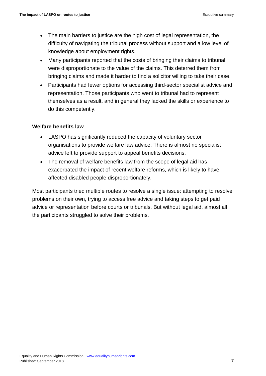- The main barriers to justice are the high cost of legal representation, the difficulty of navigating the tribunal process without support and a low level of knowledge about employment rights.
- Many participants reported that the costs of bringing their claims to tribunal were disproportionate to the value of the claims. This deterred them from bringing claims and made it harder to find a solicitor willing to take their case.
- Participants had fewer options for accessing third-sector specialist advice and representation. Those participants who went to tribunal had to represent themselves as a result, and in general they lacked the skills or experience to do this competently.

#### **Welfare benefits law**

- LASPO has significantly reduced the capacity of voluntary sector organisations to provide welfare law advice. There is almost no specialist advice left to provide support to appeal benefits decisions.
- The removal of welfare benefits law from the scope of legal aid has exacerbated the impact of recent welfare reforms, which is likely to have affected disabled people disproportionately.

Most participants tried multiple routes to resolve a single issue: attempting to resolve problems on their own, trying to access free advice and taking steps to get paid advice or representation before courts or tribunals. But without legal aid, almost all the participants struggled to solve their problems.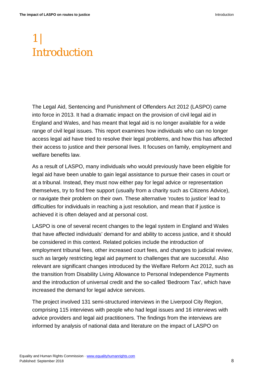# <span id="page-7-0"></span>1 | Introduction

The Legal Aid, Sentencing and Punishment of Offenders Act 2012 (LASPO) came into force in 2013. It had a dramatic impact on the provision of civil legal aid in England and Wales, and has meant that legal aid is no longer available for a wide range of civil legal issues. This report examines how individuals who can no longer access legal aid have tried to resolve their legal problems, and how this has affected their access to justice and their personal lives. It focuses on family, employment and welfare benefits law.

As a result of LASPO, many individuals who would previously have been eligible for legal aid have been unable to gain legal assistance to pursue their cases in court or at a tribunal. Instead, they must now either pay for legal advice or representation themselves, try to find free support (usually from a charity such as Citizens Advice), or navigate their problem on their own. These alternative 'routes to justice' lead to difficulties for individuals in reaching a just resolution, and mean that if justice is achieved it is often delayed and at personal cost.

LASPO is one of several recent changes to the legal system in England and Wales that have affected individuals' demand for and ability to access justice, and it should be considered in this context. Related policies include the introduction of employment tribunal fees, other increased court fees, and changes to judicial review, such as largely restricting legal aid payment to challenges that are successful. Also relevant are significant changes introduced by the Welfare Reform Act 2012, such as the transition from Disability Living Allowance to Personal Independence Payments and the introduction of universal credit and the so-called 'Bedroom Tax', which have increased the demand for legal advice services.

The project involved 131 semi-structured interviews in the Liverpool City Region, comprising 115 interviews with people who had legal issues and 16 interviews with advice providers and legal aid practitioners. The findings from the interviews are informed by analysis of national data and literature on the impact of LASPO on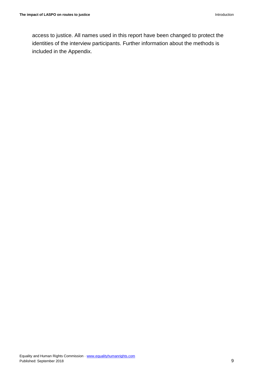access to justice. All names used in this report have been changed to protect the identities of the interview participants. Further information about the methods is included in the Appendix.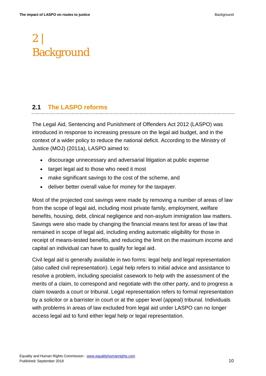# <span id="page-9-0"></span>2 | Background

# <span id="page-9-1"></span>**2.1 The LASPO reforms**

The Legal Aid, Sentencing and Punishment of Offenders Act 2012 (LASPO) was introduced in response to increasing pressure on the legal aid budget, and in the context of a wider policy to reduce the national deficit. According to the Ministry of Justice (MOJ) (2011a), LASPO aimed to:

- discourage unnecessary and adversarial litigation at public expense
- target legal aid to those who need it most
- make significant savings to the cost of the scheme, and
- deliver better overall value for money for the taxpayer.

Most of the projected cost savings were made by removing a number of areas of law from the scope of legal aid, including most private family, employment, welfare benefits, housing, debt, clinical negligence and non-asylum immigration law matters. Savings were also made by changing the financial means test for areas of law that remained in scope of legal aid, including ending automatic eligibility for those in receipt of means-tested benefits, and reducing the limit on the maximum income and capital an individual can have to qualify for legal aid.

Civil legal aid is generally available in two forms: legal help and legal representation (also called civil representation). Legal help refers to initial advice and assistance to resolve a problem, including specialist casework to help with the assessment of the merits of a claim, to correspond and negotiate with the other party, and to progress a claim towards a court or tribunal. Legal representation refers to formal representation by a solicitor or a barrister in court or at the upper level (appeal) tribunal. Individuals with problems in areas of law excluded from legal aid under LASPO can no longer access legal aid to fund either legal help or legal representation.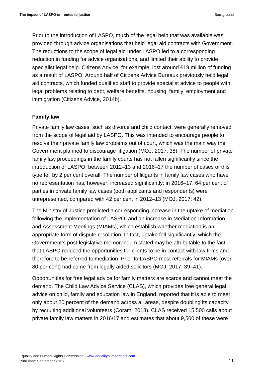Prior to the introduction of LASPO, much of the legal help that was available was provided through advice organisations that held legal aid contracts with Government. The reductions to the scope of legal aid under LASPO led to a corresponding reduction in funding for advice organisations, and limited their ability to provide specialist legal help. Citizens Advice, for example, lost around £19 million of funding as a result of LASPO. Around half of Citizens Advice Bureaux previously held legal aid contracts, which funded qualified staff to provide specialist advice to people with legal problems relating to debt, welfare benefits, housing, family, employment and immigration (Citizens Advice, 2014b).

#### **Family law**

Private family law cases, such as divorce and child contact, were generally removed from the scope of legal aid by LASPO. This was intended to encourage people to resolve their private family law problems out of court, which was the main way the Government planned to discourage litigation (MOJ, 2017: 38). The number of private family law proceedings in the family courts has not fallen significantly since the introduction of LASPO: between 2012–13 and 2016–17 the number of cases of this type fell by 2 per cent overall. The number of litigants in family law cases who have no representation has, however, increased significantly: in 2016–17, 64 per cent of parties in private family law cases (both applicants and respondents) were unrepresented, compared with 42 per cent in 2012–13 (MOJ, 2017: 42).

The Ministry of Justice predicted a corresponding increase in the uptake of mediation following the implementation of LASPO, and an increase in Mediation Information and Assessment Meetings (MIAMs), which establish whether mediation is an appropriate form of dispute resolution. In fact, uptake fell significantly, which the Government's post-legislative memorandum stated may be attributable to the fact that LASPO reduced the opportunities for clients to be in contact with law firms and therefore to be referred to mediation. Prior to LASPO most referrals for MIAMs (over 80 per cent) had come from legally aided solicitors (MOJ, 2017: 39–41).

Opportunities for free legal advice for family matters are scarce and cannot meet the demand. The Child Law Advice Service (CLAS), which provides free general legal advice on child, family and education law in England, reported that it is able to meet only about 20 percent of the demand across all areas, despite doubling its capacity by recruiting additional volunteers (Coram, 2018). CLAS received 15,500 calls about private family law matters in 2016/17 and estimates that about 9,500 of these were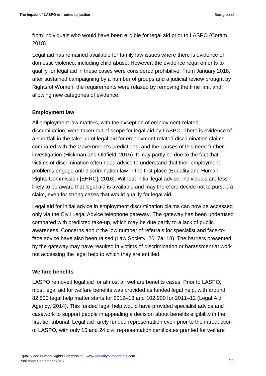from individuals who would have been eligible for legal aid prior to LASPO (Coram, 2018).

Legal aid has remained available for family law issues where there is evidence of domestic violence, including child abuse. However, the evidence requirements to qualify for legal aid in these cases were considered prohibitive. From January 2018, after sustained campaigning by a number of groups and a judicial review brought by Rights of Women, the requirements were relaxed by removing the time limit and allowing new categories of evidence.

### **Employment law**

All employment law matters, with the exception of employment-related discrimination, were taken out of scope for legal aid by LASPO. There is evidence of a shortfall in the take-up of legal aid for employment-related discrimination claims compared with the Government's predictions, and the causes of this need further investigation (Hickman and Oldfield, 2015). It may partly be due to the fact that victims of discrimination often need advice to understand that their employment problems engage anti-discrimination law in the first place (Equality and Human Rights Commission [EHRC], 2016). Without initial legal advice, individuals are less likely to be aware that legal aid is available and may therefore decide not to pursue a claim, even for strong cases that would qualify for legal aid.

Legal aid for initial advice in employment discrimination claims can now be accessed only via the Civil Legal Advice telephone gateway. The gateway has been underused compared with predicted take-up, which may be due partly to a lack of public awareness. Concerns about the low number of referrals for specialist and face-toface advice have also been raised (Law Society, 2017a: 18). The barriers presented by the gateway may have resulted in victims of discrimination or harassment at work not accessing the legal help to which they are entitled.

#### **Welfare benefits**

LASPO removed legal aid for almost all welfare benefits cases. Prior to LASPO, most legal aid for welfare benefits was provided as funded legal help, with around 82,500 legal help matter starts for 2012–13 and 102,900 for 2011–12 (Legal Aid Agency, 2014). This funded legal help would have provided specialist advice and casework to support people in appealing a decision about benefits eligibility in the first-tier tribunal. Legal aid rarely funded representation even prior to the introduction of LASPO, with only 15 and 24 civil representation certificates granted for welfare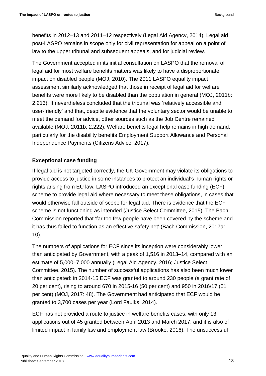benefits in 2012–13 and 2011–12 respectively (Legal Aid Agency, 2014). Legal aid post-LASPO remains in scope only for civil representation for appeal on a point of law to the upper tribunal and subsequent appeals, and for judicial review.

The Government accepted in its initial consultation on LASPO that the removal of legal aid for most welfare benefits matters was likely to have a disproportionate impact on disabled people (MOJ, 2010). The 2011 LASPO equality impact assessment similarly acknowledged that those in receipt of legal aid for welfare benefits were more likely to be disabled than the population in general (MOJ, 2011b: 2.213). It nevertheless concluded that the tribunal was 'relatively accessible and user-friendly' and that, despite evidence that the voluntary sector would be unable to meet the demand for advice, other sources such as the Job Centre remained available (MOJ, 2011b: 2.222). Welfare benefits legal help remains in high demand, particularly for the disability benefits Employment Support Allowance and Personal Independence Payments (Citizens Advice, 2017).

# **Exceptional case funding**

If legal aid is not targeted correctly, the UK Government may violate its obligations to provide access to justice in some instances to protect an individual's human rights or rights arising from EU law. LASPO introduced an exceptional case funding (ECF) scheme to provide legal aid where necessary to meet these obligations, in cases that would otherwise fall outside of scope for legal aid. There is evidence that the ECF scheme is not functioning as intended (Justice Select Committee, 2015). The Bach Commission reported that 'far too few people have been covered by the scheme and it has thus failed to function as an effective safety net' (Bach Commission, 2017a: 10).

The numbers of applications for ECF since its inception were considerably lower than anticipated by Government, with a peak of 1,516 in 2013–14, compared with an estimate of 5,000–7,000 annually (Legal Aid Agency, 2016; Justice Select Committee, 2015). The number of successful applications has also been much lower than anticipated: in 2014-15 ECF was granted to around 230 people (a grant rate of 20 per cent), rising to around 670 in 2015-16 (50 per cent) and 950 in 2016/17 (51 per cent) (MOJ, 2017: 48). The Government had anticipated that ECF would be granted to 3,700 cases per year (Lord Faulks, 2014).

ECF has not provided a route to justice in welfare benefits cases, with only 13 applications out of 45 granted between April 2013 and March 2017, and it is also of limited impact in family law and employment law (Brooke, 2016). The unsuccessful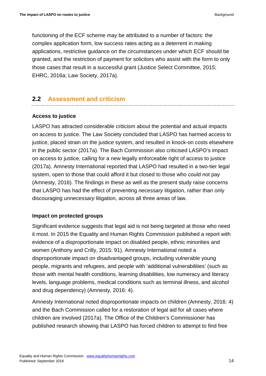functioning of the ECF scheme may be attributed to a number of factors: the complex application form, low success rates acting as a deterrent in making applications, restrictive guidance on the circumstances under which ECF should be granted, and the restriction of payment for solicitors who assist with the form to only those cases that result in a successful grant (Justice Select Committee, 2015; EHRC, 2016a; Law Society, 2017a).

# <span id="page-13-0"></span>**2.2 Assessment and criticism**

#### **Access to justice**

LASPO has attracted considerable criticism about the potential and actual impacts on access to justice. The Law Society concluded that LASPO has harmed access to justice, placed strain on the justice system, and resulted in knock-on costs elsewhere in the public sector (2017a). The Bach Commission also criticised LASPO's impact on access to justice, calling for a new legally enforceable right of access to justice (2017a). Amnesty International reported that LASPO had resulted in a two-tier legal system, open to those that could afford it but closed to those who could not pay (Amnesty, 2016). The findings in these as well as the present study raise concerns that LASPO has had the effect of preventing *necessary* litigation, rather than only discouraging *unnecessary* litigation, across all three areas of law.

#### **Impact on protected groups**

Significant evidence suggests that legal aid is not being targeted at those who need it most. In 2015 the Equality and Human Rights Commission published a report with evidence of a disproportionate impact on disabled people, ethnic minorities and women (Anthony and Crilly, 2015: 91). Amnesty International noted a disproportionate impact on disadvantaged groups, including vulnerable young people, migrants and refugees, and people with 'additional vulnerabilities' (such as those with mental health conditions, learning disabilities, low numeracy and literacy levels, language problems, medical conditions such as terminal illness, and alcohol and drug dependency) (Amnesty, 2016: 4).

Amnesty International noted disproportionate impacts on children (Amnesty, 2016: 4) and the Bach Commission called for a restoration of legal aid for all cases where children are involved (2017a). The Office of the Children's Commissioner has published research showing that LASPO has forced children to attempt to find free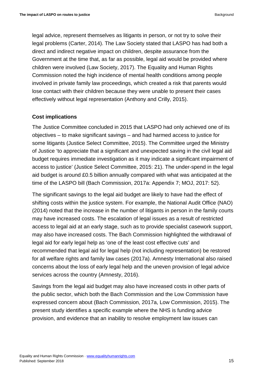legal advice, represent themselves as litigants in person, or not try to solve their legal problems (Carter, 2014). The Law Society stated that LASPO has had both a direct and indirect negative impact on children, despite assurance from the Government at the time that, as far as possible, legal aid would be provided where children were involved (Law Society, 2017). The Equality and Human Rights Commission noted the high incidence of mental health conditions among people involved in private family law proceedings, which created a risk that parents would lose contact with their children because they were unable to present their cases effectively without legal representation (Anthony and Crilly, 2015).

#### **Cost implications**

The Justice Committee concluded in 2015 that LASPO had only achieved one of its objectives – to make significant savings – and had harmed access to justice for some litigants (Justice Select Committee, 2015). The Committee urged the Ministry of Justice 'to appreciate that a significant and unexpected saving in the civil legal aid budget requires immediate investigation as it may indicate a significant impairment of access to justice' (Justice Select Committee, 2015: 21). The under-spend in the legal aid budget is around £0.5 billion annually compared with what was anticipated at the time of the LASPO bill (Bach Commission, 2017a: Appendix 7; MOJ, 2017: 52).

The significant savings to the legal aid budget are likely to have had the effect of shifting costs within the justice system. For example, the National Audit Office (NAO) (2014) noted that the increase in the number of litigants in person in the family courts may have increased costs. The escalation of legal issues as a result of restricted access to legal aid at an early stage, such as to provide specialist casework support, may also have increased costs. The Bach Commission highlighted the withdrawal of legal aid for early legal help as 'one of the least cost effective cuts' and recommended that legal aid for legal help (not including representation) be restored for all welfare rights and family law cases (2017a). Amnesty International also raised concerns about the loss of early legal help and the uneven provision of legal advice services across the country (Amnesty, 2016).

Savings from the legal aid budget may also have increased costs in other parts of the public sector, which both the Bach Commission and the Low Commission have expressed concern about (Bach Commission, 2017a, Low Commission, 2015). The present study identifies a specific example where the NHS is funding advice provision, and evidence that an inability to resolve employment law issues can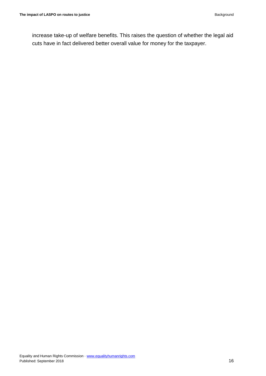increase take-up of welfare benefits. This raises the question of whether the legal aid cuts have in fact delivered better overall value for money for the taxpayer.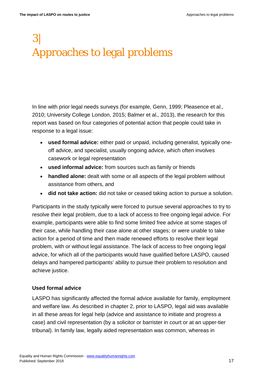# <span id="page-16-0"></span>3| Approaches to legal problems

In line with prior legal needs surveys (for example, Genn, 1999; Pleasence et al.*,* 2010; University College London, 2015; Balmer et al.*,* 2013), the research for this report was based on four categories of potential action that people could take in response to a legal issue:

- **used formal advice:** either paid or unpaid, including generalist, typically oneoff advice, and specialist, usually ongoing advice, which often involves casework or legal representation
- **used informal advice:** from sources such as family or friends
- **handled alone:** dealt with some or all aspects of the legal problem without assistance from others, and
- **did not take action:** did not take or ceased taking action to pursue a solution.

Participants in the study typically were forced to pursue several approaches to try to resolve their legal problem, due to a lack of access to free ongoing legal advice. For example, participants were able to find some limited free advice at some stages of their case, while handling their case alone at other stages; or were unable to take action for a period of time and then made renewed efforts to resolve their legal problem, with or without legal assistance. The lack of access to free ongoing legal advice, for which all of the participants would have qualified before LASPO, caused delays and hampered participants' ability to pursue their problem to resolution and achieve justice.

#### **Used formal advice**

LASPO has significantly affected the formal advice available for family, employment and welfare law. As described in chapter 2, prior to LASPO, legal aid was available in all these areas for legal help (advice and assistance to initiate and progress a case) and civil representation (by a solicitor or barrister in court or at an upper-tier tribunal). In family law, legally aided representation was common, whereas in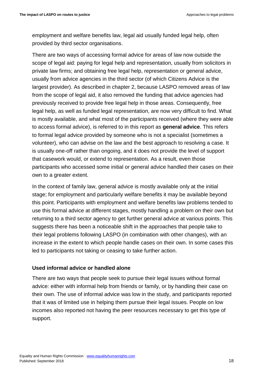employment and welfare benefits law, legal aid usually funded legal help, often provided by third sector organisations.

There are two ways of accessing formal advice for areas of law now outside the scope of legal aid: paying for legal help and representation, usually from solicitors in private law firms; and obtaining free legal help, representation or general advice, usually from advice agencies in the third sector (of which Citizens Advice is the largest provider). As described in chapter 2, because LASPO removed areas of law from the scope of legal aid, it also removed the funding that advice agencies had previously received to provide free legal help in those areas. Consequently, free legal help, as well as funded legal representation, are now very difficult to find. What is mostly available, and what most of the participants received (where they were able to access formal advice), is referred to in this report as **general advice**. This refers to formal legal advice provided by someone who is not a specialist (sometimes a volunteer), who can advise on the law and the best approach to resolving a case. It is usually one-off rather than ongoing, and it does not provide the level of support that casework would, or extend to representation. As a result, even those participants who accessed some initial or general advice handled their cases on their own to a greater extent.

In the context of family law, general advice is mostly available only at the initial stage; for employment and particularly welfare benefits it may be available beyond this point. Participants with employment and welfare benefits law problems tended to use this formal advice at different stages, mostly handling a problem on their own but returning to a third sector agency to get further general advice at various points. This suggests there has been a noticeable shift in the approaches that people take to their legal problems following LASPO (in combination with other changes), with an increase in the extent to which people handle cases on their own. In some cases this led to participants not taking or ceasing to take further action.

#### **Used informal advice or handled alone**

There are two ways that people seek to pursue their legal issues without formal advice: either with informal help from friends or family, or by handling their case on their own. The use of informal advice was low in the study, and participants reported that it was of limited use in helping them pursue their legal issues. People on low incomes also reported not having the peer resources necessary to get this type of support.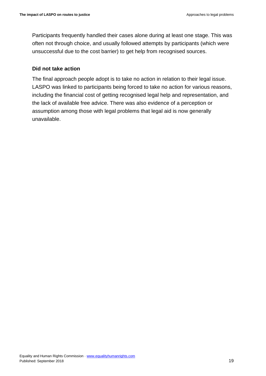Participants frequently handled their cases alone during at least one stage. This was often not through choice, and usually followed attempts by participants (which were unsuccessful due to the cost barrier) to get help from recognised sources.

#### **Did not take action**

The final approach people adopt is to take no action in relation to their legal issue. LASPO was linked to participants being forced to take no action for various reasons, including the financial cost of getting recognised legal help and representation, and the lack of available free advice. There was also evidence of a perception or assumption among those with legal problems that legal aid is now generally unavailable.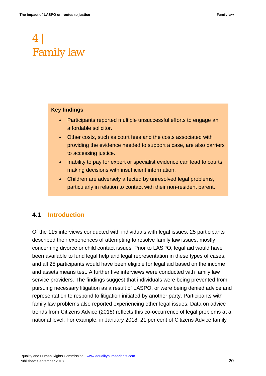# <span id="page-19-0"></span>4 | Family law

#### **Key findings**

- Participants reported multiple unsuccessful efforts to engage an affordable solicitor.
- Other costs, such as court fees and the costs associated with providing the evidence needed to support a case, are also barriers to accessing justice.
- Inability to pay for expert or specialist evidence can lead to courts making decisions with insufficient information.
- Children are adversely affected by unresolved legal problems, particularly in relation to contact with their non-resident parent.

# <span id="page-19-1"></span>**4.1 Introduction**

Of the 115 interviews conducted with individuals with legal issues, 25 participants described their experiences of attempting to resolve family law issues, mostly concerning divorce or child contact issues. Prior to LASPO, legal aid would have been available to fund legal help and legal representation in these types of cases, and all 25 participants would have been eligible for legal aid based on the income and assets means test. A further five interviews were conducted with family law service providers. The findings suggest that individuals were being prevented from pursuing necessary litigation as a result of LASPO, or were being denied advice and representation to respond to litigation initiated by another party. Participants with family law problems also reported experiencing other legal issues. Data on advice trends from Citizens Advice (2018) reflects this co-occurrence of legal problems at a national level. For example, in January 2018, 21 per cent of Citizens Advice family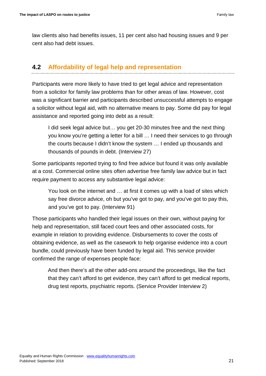law clients also had benefits issues, 11 per cent also had housing issues and 9 per cent also had debt issues.

# <span id="page-20-0"></span>**4.2 Affordability of legal help and representation**

Participants were more likely to have tried to get legal advice and representation from a solicitor for family law problems than for other areas of law. However, cost was a significant barrier and participants described unsuccessful attempts to engage a solicitor without legal aid, with no alternative means to pay. Some did pay for legal assistance and reported going into debt as a result:

I did seek legal advice but… you get 20-30 minutes free and the next thing you know you're getting a letter for a bill … I need their services to go through the courts because I didn't know the system … I ended up thousands and thousands of pounds in debt. (Interview 27)

Some participants reported trying to find free advice but found it was only available at a cost. Commercial online sites often advertise free family law advice but in fact require payment to access any substantive legal advice:

You look on the internet and … at first it comes up with a load of sites which say free divorce advice, oh but you've got to pay, and you've got to pay this, and you've got to pay. (Interview 91)

Those participants who handled their legal issues on their own, without paying for help and representation, still faced court fees and other associated costs, for example in relation to providing evidence. Disbursements to cover the costs of obtaining evidence, as well as the casework to help organise evidence into a court bundle, could previously have been funded by legal aid. This service provider confirmed the range of expenses people face:

And then there's all the other add-ons around the proceedings, like the fact that they can't afford to get evidence, they can't afford to get medical reports, drug test reports, psychiatric reports. (Service Provider Interview 2)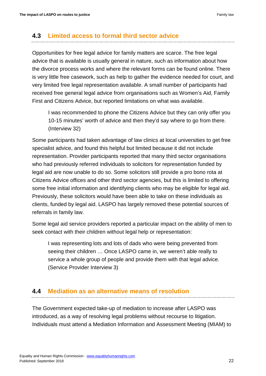### <span id="page-21-0"></span>**4.3 Limited access to formal third sector advice**

Opportunities for free legal advice for family matters are scarce. The free legal advice that is available is usually general in nature, such as information about how the divorce process works and where the relevant forms can be found online. There is very little free casework, such as help to gather the evidence needed for court, and very limited free legal representation available. A small number of participants had received free general legal advice from organisations such as Women's Aid, Family First and Citizens Advice, but reported limitations on what was available.

I was recommended to phone the Citizens Advice but they can only offer you 10-15 minutes' worth of advice and then they'd say where to go from there. (Interview 32)

Some participants had taken advantage of law clinics at local universities to get free specialist advice, and found this helpful but limited because it did not include representation. Provider participants reported that many third sector organisations who had previously referred individuals to solicitors for representation funded by legal aid are now unable to do so. Some solicitors still provide a pro bono rota at Citizens Advice offices and other third sector agencies, but this is limited to offering some free initial information and identifying clients who may be eligible for legal aid. Previously, these solicitors would have been able to take on these individuals as clients, funded by legal aid. LASPO has largely removed these potential sources of referrals in family law.

Some legal aid service providers reported a particular impact on the ability of men to seek contact with their children without legal help or representation:

I was representing lots and lots of dads who were being prevented from seeing their children … Once LASPO came in, we weren't able really to service a whole group of people and provide them with that legal advice. (Service Provider Interview 3)

### <span id="page-21-1"></span>**4.4 Mediation as an alternative means of resolution**

The Government expected take-up of mediation to increase after LASPO was introduced, as a way of resolving legal problems without recourse to litigation. Individuals must attend a Mediation Information and Assessment Meeting (MIAM) to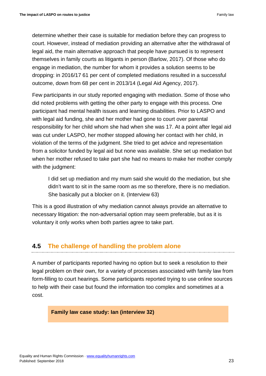determine whether their case is suitable for mediation before they can progress to court. However, instead of mediation providing an alternative after the withdrawal of legal aid, the main alternative approach that people have pursued is to represent themselves in family courts as litigants in person (Barlow, 2017). Of those who do engage in mediation, the number for whom it provides a solution seems to be dropping: in 2016/17 61 per cent of completed mediations resulted in a successful outcome, down from 68 per cent in 2013/14 (Legal Aid Agency, 2017).

Few participants in our study reported engaging with mediation. Some of those who did noted problems with getting the other party to engage with this process. One participant had mental health issues and learning disabilities. Prior to LASPO and with legal aid funding, she and her mother had gone to court over parental responsibility for her child whom she had when she was 17. At a point after legal aid was cut under LASPO, her mother stopped allowing her contact with her child, in violation of the terms of the judgment. She tried to get advice and representation from a solicitor funded by legal aid but none was available. She set up mediation but when her mother refused to take part she had no means to make her mother comply with the judgment:

I did set up mediation and my mum said she would do the mediation, but she didn't want to sit in the same room as me so therefore, there is no mediation. She basically put a blocker on it. (Interview 63)

This is a good illustration of why mediation cannot always provide an alternative to necessary litigation: the non-adversarial option may seem preferable, but as it is voluntary it only works when both parties agree to take part.

# <span id="page-22-0"></span>**4.5 The challenge of handling the problem alone**

A number of participants reported having no option but to seek a resolution to their legal problem on their own, for a variety of processes associated with family law from form-filling to court hearings. Some participants reported trying to use online sources to help with their case but found the information too complex and sometimes at a cost.

#### **Family law case study: Ian (interview 32)**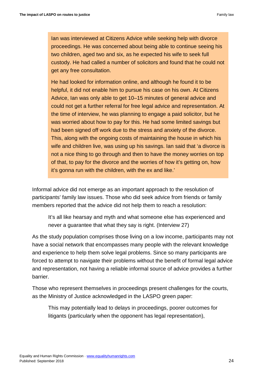Ian was interviewed at Citizens Advice while seeking help with divorce proceedings. He was concerned about being able to continue seeing his two children, aged two and six, as he expected his wife to seek full custody. He had called a number of solicitors and found that he could not get any free consultation.

He had looked for information online, and although he found it to be helpful, it did not enable him to pursue his case on his own. At Citizens Advice, Ian was only able to get 10–15 minutes of general advice and could not get a further referral for free legal advice and representation. At the time of interview, he was planning to engage a paid solicitor, but he was worried about how to pay for this. He had some limited savings but had been signed off work due to the stress and anxiety of the divorce. This, along with the ongoing costs of maintaining the house in which his wife and children live, was using up his savings. Ian said that 'a divorce is not a nice thing to go through and then to have the money worries on top of that, to pay for the divorce and the worries of how it's getting on, how it's gonna run with the children, with the ex and like.'

Informal advice did not emerge as an important approach to the resolution of participants' family law issues. Those who did seek advice from friends or family members reported that the advice did not help them to reach a resolution:

It's all like hearsay and myth and what someone else has experienced and never a guarantee that what they say is right. (Interview 27)

As the study population comprises those living on a low income, participants may not have a social network that encompasses many people with the relevant knowledge and experience to help them solve legal problems. Since so many participants are forced to attempt to navigate their problems without the benefit of formal legal advice and representation, not having a reliable informal source of advice provides a further barrier.

Those who represent themselves in proceedings present challenges for the courts, as the Ministry of Justice acknowledged in the LASPO green paper:

This may potentially lead to delays in proceedings, poorer outcomes for litigants (particularly when the opponent has legal representation),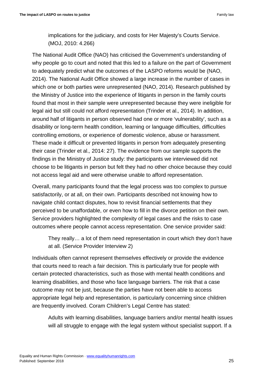implications for the judiciary, and costs for Her Majesty's Courts Service. (MOJ, 2010: 4.266)

The National Audit Office (NAO) has criticised the Government's understanding of why people go to court and noted that this led to a failure on the part of Government to adequately predict what the outcomes of the LASPO reforms would be (NAO, 2014). The National Audit Office showed a large increase in the number of cases in which one or both parties were unrepresented (NAO, 2014). Research published by the Ministry of Justice into the experience of litigants in person in the family courts found that most in their sample were unrepresented because they were ineligible for legal aid but still could not afford representation (Trinder et al.*,* 2014). In addition, around half of litigants in person observed had one or more 'vulnerability', such as a disability or long-term health condition, learning or language difficulties, difficulties controlling emotions, or experience of domestic violence, abuse or harassment. These made it difficult or prevented litigants in person from adequately presenting their case (Trinder et al.*,* 2014: 27). The evidence from our sample supports the findings in the Ministry of Justice study: the participants we interviewed did not choose to be litigants in person but felt they had no other choice because they could not access legal aid and were otherwise unable to afford representation.

Overall, many participants found that the legal process was too complex to pursue satisfactorily, or at all, on their own. Participants described not knowing how to navigate child contact disputes, how to revisit financial settlements that they perceived to be unaffordable, or even how to fill in the divorce petition on their own. Service providers highlighted the complexity of legal cases and the risks to case outcomes where people cannot access representation. One service provider said:

They really… a lot of them need representation in court which they don't have at all. (Service Provider Interview 2)

Individuals often cannot represent themselves effectively or provide the evidence that courts need to reach a fair decision. This is particularly true for people with certain protected characteristics, such as those with mental health conditions and learning disabilities, and those who face language barriers. The risk that a case outcome may not be just, because the parties have not been able to access appropriate legal help and representation, is particularly concerning since children are frequently involved. Coram Children's Legal Centre has stated:

Adults with learning disabilities, language barriers and/or mental health issues will all struggle to engage with the legal system without specialist support. If a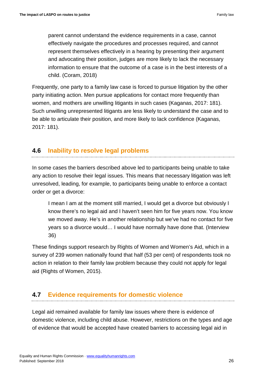parent cannot understand the evidence requirements in a case, cannot effectively navigate the procedures and processes required, and cannot represent themselves effectively in a hearing by presenting their argument and advocating their position, judges are more likely to lack the necessary information to ensure that the outcome of a case is in the best interests of a child. (Coram, 2018)

Frequently, one party to a family law case is forced to pursue litigation by the other party initiating action. Men pursue applications for contact more frequently than women, and mothers are unwilling litigants in such cases (Kaganas, 2017: 181). Such unwilling unrepresented litigants are less likely to understand the case and to be able to articulate their position, and more likely to lack confidence (Kaganas, 2017: 181).

# <span id="page-25-0"></span>**4.6 Inability to resolve legal problems**

In some cases the barriers described above led to participants being unable to take any action to resolve their legal issues. This means that necessary litigation was left unresolved, leading, for example, to participants being unable to enforce a contact order or get a divorce:

I mean I am at the moment still married, I would get a divorce but obviously I know there's no legal aid and I haven't seen him for five years now. You know we moved away. He's in another relationship but we've had no contact for five years so a divorce would… I would have normally have done that. (Interview 36)

These findings support research by Rights of Women and Women's Aid, which in a survey of 239 women nationally found that half (53 per cent) of respondents took no action in relation to their family law problem because they could not apply for legal aid (Rights of Women, 2015).

# <span id="page-25-1"></span>**4.7 Evidence requirements for domestic violence**

Legal aid remained available for family law issues where there is evidence of domestic violence, including child abuse. However, restrictions on the types and age of evidence that would be accepted have created barriers to accessing legal aid in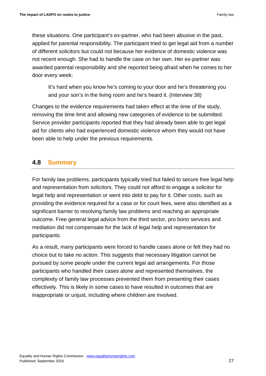these situations. One participant's ex-partner, who had been abusive in the past, applied for parental responsibility. The participant tried to get legal aid from a number of different solicitors but could not because her evidence of domestic violence was not recent enough. She had to handle the case on her own. Her ex-partner was awarded parental responsibility and she reported being afraid when he comes to her door every week:

It's hard when you know he's coming to your door and he's threatening you and your son's in the living room and he's heard it. (Interview 38)

Changes to the evidence requirements had taken effect at the time of the study, removing the time limit and allowing new categories of evidence to be submitted. Service provider participants reported that they had already been able to get legal aid for clients who had experienced domestic violence whom they would not have been able to help under the previous requirements.

# <span id="page-26-0"></span>**4.8 Summary**

For family law problems, participants typically tried but failed to secure free legal help and representation from solicitors. They could not afford to engage a solicitor for legal help and representation or went into debt to pay for it. Other costs, such as providing the evidence required for a case or for court fees, were also identified as a significant barrier to resolving family law problems and reaching an appropriate outcome. Free general legal advice from the third sector, pro bono services and mediation did not compensate for the lack of legal help and representation for participants.

As a result, many participants were forced to handle cases alone or felt they had no choice but to take no action. This suggests that necessary litigation cannot be pursued by some people under the current legal aid arrangements. For those participants who handled their cases alone and represented themselves, the complexity of family law processes prevented them from presenting their cases effectively. This is likely in some cases to have resulted in outcomes that are inappropriate or unjust, including where children are involved.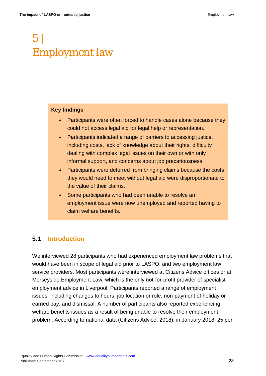# <span id="page-27-0"></span>5 | Employment law

#### **Key findings**

- Participants were often forced to handle cases alone because they could not access legal aid for legal help or representation.
- Participants indicated a range of barriers to accessing justice, including costs, lack of knowledge about their rights, difficulty dealing with complex legal issues on their own or with only informal support, and concerns about job precariousness.
- Participants were deterred from bringing claims because the costs they would need to meet without legal aid were disproportionate to the value of their claims.
- Some participants who had been unable to resolve an employment issue were now unemployed and reported having to claim welfare benefits.

# <span id="page-27-1"></span>**5.1 Introduction**

We interviewed 28 participants who had experienced employment law problems that would have been in scope of legal aid prior to LASPO, and two employment law service providers. Most participants were interviewed at Citizens Advice offices or at Merseyside Employment Law, which is the only not-for-profit provider of specialist employment advice in Liverpool. Participants reported a range of employment issues, including changes to hours, job location or role, non-payment of holiday or earned pay, and dismissal. A number of participants also reported experiencing welfare benefits issues as a result of being unable to resolve their employment problem. According to national data (Citizens Advice, 2018), in January 2018, 25 per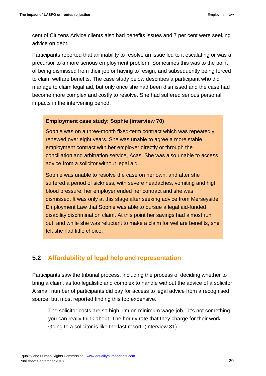cent of Citizens Advice clients also had benefits issues and 7 per cent were seeking advice on debt.

Participants reported that an inability to resolve an issue led to it escalating or was a precursor to a more serious employment problem. Sometimes this was to the point of being dismissed from their job or having to resign, and subsequently being forced to claim welfare benefits. The case study below describes a participant who did manage to claim legal aid, but only once she had been dismissed and the case had become more complex and costly to resolve. She had suffered serious personal impacts in the intervening period.

#### **Employment case study: Sophie (interview 70)**

Sophie was on a three-month fixed-term contract which was repeatedly renewed over eight years. She was unable to agree a more stable employment contract with her employer directly or through the conciliation and arbitration service, Acas. She was also unable to access advice from a solicitor without legal aid.

Sophie was unable to resolve the case on her own, and after she suffered a period of sickness, with severe headaches, vomiting and high blood pressure, her employer ended her contract and she was dismissed. It was only at this stage after seeking advice from Merseyside Employment Law that Sophie was able to pursue a legal aid-funded disability discrimination claim. At this point her savings had almost run out, and while she was reluctant to make a claim for welfare benefits, she felt she had little choice.

### <span id="page-28-0"></span>**5.2 Affordability of legal help and representation**

Participants saw the tribunal process, including the process of deciding whether to bring a claim, as too legalistic and complex to handle without the advice of a solicitor. A small number of participants did pay for access to legal advice from a recognised source, but most reported finding this too expensive.

The solicitor costs are so high. I'm on minimum wage job—it's not something you can really think about. The hourly rate that they charge for their work… Going to a solicitor is like the last resort. (Interview 31)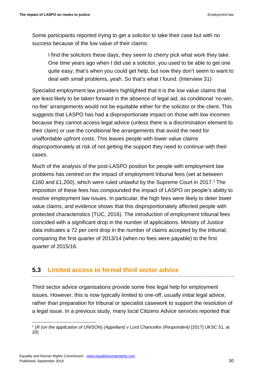Some participants reported trying to get a solicitor to take their case but with no success because of the low value of their claims:

I find the solicitors these days, they seem to cherry pick what work they take. One time years ago when I did use a solicitor, you used to be able to get one quite easy, that's when you could get help, but now they don't seem to want to deal with small problems, yeah. So that's what I found. (Interview 31)

Specialist employment law providers highlighted that it is the low value claims that are least likely to be taken forward in the absence of legal aid, as conditional 'no-win, no-fee' arrangements would not be equitable either for the solicitor or the client. This suggests that LASPO has had a disproportionate impact on those with low incomes because they cannot access legal advice (unless there is a discrimination element to their claim) or use the conditional fee arrangements that avoid the need for unaffordable upfront costs. This leaves people with lower value claims disproportionately at risk of not getting the support they need to continue with their cases.

Much of the analysis of the post-LASPO position for people with employment law problems has centred on the impact of employment tribunal fees (set at between £160 and £1,200), which were ruled unlawful by the Supreme Court in 2017. [1](#page-29-1) The imposition of these fees has compounded the impact of LASPO on people's ability to resolve employment law issues. In particular, the high fees were likely to deter lower value claims, and evidence shows that this disproportionately affected people with protected characteristics (TUC, 2016). The introduction of employment tribunal fees coincided with a significant drop in the number of applications. Ministry of Justice data indicates a 72 per cent drop in the number of claims accepted by the tribunal, comparing the first quarter of 2013/14 (when no fees were payable) to the first quarter of 2015/16.

# <span id="page-29-0"></span>**5.3 Limited access to formal third sector advice**

Third sector advice organisations provide some free legal help for employment issues. However, this is now typically limited to one-off, usually initial legal advice, rather than preparation for tribunal or specialist casework to support the resolution of a legal issue. In a previous study, many local Citizens Advice services reported that

<span id="page-29-1"></span> <sup>1</sup> (*R (on the application of UNISON) (Appellant) v Lord Chancellor (Respondent)* [2017] UKSC 51, at 20)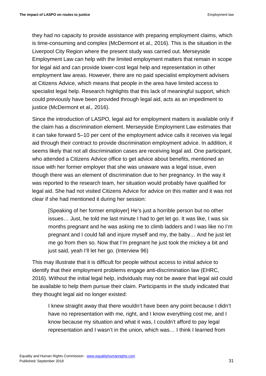they had no capacity to provide assistance with preparing employment claims, which is time-consuming and complex (McDermont et al.*,* 2016). This is the situation in the Liverpool City Region where the present study was carried out. Merseyside Employment Law can help with the limited employment matters that remain in scope for legal aid and can provide lower-cost legal help and representation in other employment law areas. However, there are no paid specialist employment advisers at Citizens Advice, which means that people in the area have limited access to specialist legal help. Research highlights that this lack of meaningful support, which could previously have been provided through legal aid, acts as an impediment to justice (McDermont et al.*,* 2016).

Since the introduction of LASPO, legal aid for employment matters is available only if the claim has a discrimination element. Merseyside Employment Law estimates that it can take forward 5–10 per cent of the employment advice calls it receives via legal aid through their contract to provide discrimination employment advice. In addition, it seems likely that not all discrimination cases are receiving legal aid. One participant, who attended a Citizens Advice office to get advice about benefits, mentioned an issue with her former employer that she was unaware was a legal issue, even though there was an element of discrimination due to her pregnancy. In the way it was reported to the research team, her situation would probably have qualified for legal aid. She had not visited Citizens Advice for advice on this matter and it was not clear if she had mentioned it during her session:

[Speaking of her former employer] He's just a horrible person but no other issues… Just, he told me last minute I had to get let go. It was like, I was six months pregnant and he was asking me to climb ladders and I was like no I'm pregnant and I could fall and injure myself and my, the baby… And he just let me go from then so. Now that I'm pregnant he just took the mickey a bit and just said, yeah I'll let her go. (Interview 96)

This may illustrate that it is difficult for people without access to initial advice to identify that their employment problems engage anti-discrimination law (EHRC, 2016). Without the initial legal help, individuals may not be aware that legal aid could be available to help them pursue their claim. Participants in the study indicated that they thought legal aid no longer existed:

I knew straight away that there wouldn't have been any point because I didn't have no representation with me, right, and I know everything cost me, and I know because my situation and what it was, I couldn't afford to pay legal representation and I wasn't in the union, which was… I think I learned from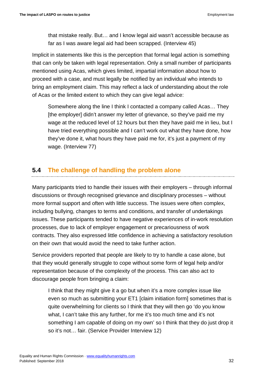that mistake really. But… and I know legal aid wasn't accessible because as far as I was aware legal aid had been scrapped. (Interview 45)

Implicit in statements like this is the perception that formal legal action is something that can only be taken with legal representation. Only a small number of participants mentioned using Acas, which gives limited, impartial information about how to proceed with a case, and must legally be notified by an individual who intends to bring an employment claim. This may reflect a lack of understanding about the role of Acas or the limited extent to which they can give legal advice:

Somewhere along the line I think I contacted a company called Acas… They [the employer] didn't answer my letter of grievance, so they've paid me my wage at the reduced level of 12 hours but then they have paid me in lieu, but I have tried everything possible and I can't work out what they have done, how they've done it, what hours they have paid me for, it's just a payment of my wage. (Interview 77)

# <span id="page-31-0"></span>**5.4 The challenge of handling the problem alone**

Many participants tried to handle their issues with their employers – through informal discussions or through recognised grievance and disciplinary processes – without more formal support and often with little success. The issues were often complex, including bullying, changes to terms and conditions, and transfer of undertakings issues. These participants tended to have negative experiences of in-work resolution processes, due to lack of employer engagement or precariousness of work contracts. They also expressed little confidence in achieving a satisfactory resolution on their own that would avoid the need to take further action.

Service providers reported that people are likely to try to handle a case alone, but that they would generally struggle to cope without some form of legal help and/or representation because of the complexity of the process. This can also act to discourage people from bringing a claim:

I think that they might give it a go but when it's a more complex issue like even so much as submitting your ET1 [claim initiation form] sometimes that is quite overwhelming for clients so I think that they will then go 'do you know what, I can't take this any further, for me it's too much time and it's not something I am capable of doing on my own' so I think that they do just drop it so it's not… fair. (Service Provider Interview 12)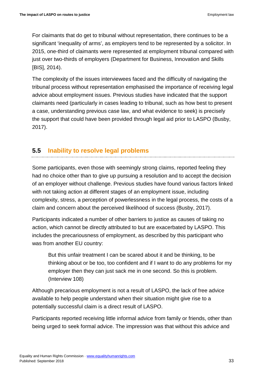For claimants that do get to tribunal without representation, there continues to be a significant 'inequality of arms', as employers tend to be represented by a solicitor. In 2015, one-third of claimants were represented at employment tribunal compared with just over two-thirds of employers (Department for Business, Innovation and Skills [BIS], 2014).

The complexity of the issues interviewees faced and the difficulty of navigating the tribunal process without representation emphasised the importance of receiving legal advice about employment issues. Previous studies have indicated that the support claimants need (particularly in cases leading to tribunal, such as how best to present a case, understanding previous case law, and what evidence to seek) is precisely the support that could have been provided through legal aid prior to LASPO (Busby, 2017).

# <span id="page-32-0"></span>**5.5 Inability to resolve legal problems**

Some participants, even those with seemingly strong claims, reported feeling they had no choice other than to give up pursuing a resolution and to accept the decision of an employer without challenge. Previous studies have found various factors linked with not taking action at different stages of an employment issue, including complexity, stress, a perception of powerlessness in the legal process, the costs of a claim and concern about the perceived likelihood of success (Busby, 2017).

Participants indicated a number of other barriers to justice as causes of taking no action, which cannot be directly attributed to but are exacerbated by LASPO. This includes the precariousness of employment, as described by this participant who was from another EU country:

But this unfair treatment I can be scared about it and be thinking, to be thinking about or be too, too confident and if I want to do any problems for my employer then they can just sack me in one second. So this is problem. (Interview 108)

Although precarious employment is not a result of LASPO, the lack of free advice available to help people understand when their situation might give rise to a potentially successful claim is a direct result of LASPO.

Participants reported receiving little informal advice from family or friends, other than being urged to seek formal advice. The impression was that without this advice and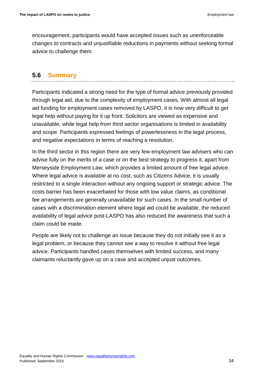encouragement, participants would have accepted issues such as unenforceable changes to contracts and unjustifiable reductions in payments without seeking formal advice to challenge them.

### <span id="page-33-0"></span>**5.6 Summary**

Participants indicated a strong need for the type of formal advice previously provided through legal aid, due to the complexity of employment cases. With almost all legal aid funding for employment cases removed by LASPO, it is now very difficult to get legal help without paying for it up front. Solicitors are viewed as expensive and unavailable, while legal help from third sector organisations is limited in availability and scope. Participants expressed feelings of powerlessness in the legal process, and negative expectations in terms of reaching a resolution.

In the third sector in this region there are very few employment law advisers who can advise fully on the merits of a case or on the best strategy to progress it, apart from Merseyside Employment Law, which provides a limited amount of free legal advice. Where legal advice is available at no cost, such as Citizens Advice, it is usually restricted to a single interaction without any ongoing support or strategic advice. The costs barrier has been exacerbated for those with low value claims, as conditional fee arrangements are generally unavailable for such cases. In the small number of cases with a discrimination element where legal aid could be available, the reduced availability of legal advice post-LASPO has also reduced the awareness that such a claim could be made.

People are likely not to challenge an issue because they do not initially see it as a legal problem, or because they cannot see a way to resolve it without free legal advice. Participants handled cases themselves with limited success, and many claimants reluctantly gave up on a case and accepted unjust outcomes.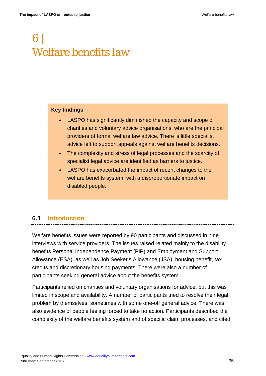# <span id="page-34-0"></span>6 | Welfare benefits law

#### **Key findings**

- LASPO has significantly diminished the capacity and scope of charities and voluntary advice organisations, who are the principal providers of formal welfare law advice. There is little specialist advice left to support appeals against welfare benefits decisions.
- The complexity and stress of legal processes and the scarcity of specialist legal advice are identified as barriers to justice.
- LASPO has exacerbated the impact of recent changes to the welfare benefits system, with a disproportionate impact on disabled people.

# <span id="page-34-1"></span>**6.1 Introduction**

Welfare benefits issues were reported by 90 participants and discussed in nine interviews with service providers. The issues raised related mainly to the disability benefits Personal Independence Payment (PIP) and Employment and Support Allowance (ESA), as well as Job Seeker's Allowance (JSA), housing benefit, tax credits and discretionary housing payments. There were also a number of participants seeking general advice about the benefits system.

Participants relied on charities and voluntary organisations for advice, but this was limited in scope and availability. A number of participants tried to resolve their legal problem by themselves, sometimes with some one-off general advice. There was also evidence of people feeling forced to take no action. Participants described the complexity of the welfare benefits system and of specific claim processes, and cited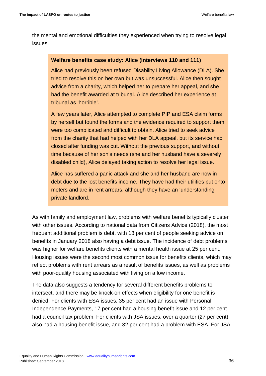the mental and emotional difficulties they experienced when trying to resolve legal issues.

#### **Welfare benefits case study: Alice (interviews 110 and 111)**

Alice had previously been refused Disability Living Allowance (DLA). She tried to resolve this on her own but was unsuccessful. Alice then sought advice from a charity, which helped her to prepare her appeal, and she had the benefit awarded at tribunal. Alice described her experience at tribunal as 'horrible'.

A few years later, Alice attempted to complete PIP and ESA claim forms by herself but found the forms and the evidence required to support them were too complicated and difficult to obtain. Alice tried to seek advice from the charity that had helped with her DLA appeal, but its service had closed after funding was cut. Without the previous support, and without time because of her son's needs (she and her husband have a severely disabled child), Alice delayed taking action to resolve her legal issue.

Alice has suffered a panic attack and she and her husband are now in debt due to the lost benefits income. They have had their utilities put onto meters and are in rent arrears, although they have an 'understanding' private landlord.

As with family and employment law, problems with welfare benefits typically cluster with other issues. According to national data from Citizens Advice (2018), the most frequent additional problem is debt, with 18 per cent of people seeking advice on benefits in January 2018 also having a debt issue. The incidence of debt problems was higher for welfare benefits clients with a mental health issue at 25 per cent. Housing issues were the second most common issue for benefits clients, which may reflect problems with rent arrears as a result of benefits issues, as well as problems with poor-quality housing associated with living on a low income.

The data also suggests a tendency for several different benefits problems to intersect, and there may be knock-on effects when eligibility for one benefit is denied. For clients with ESA issues, 35 per cent had an issue with Personal Independence Payments, 17 per cent had a housing benefit issue and 12 per cent had a council tax problem. For clients with JSA issues, over a quarter (27 per cent) also had a housing benefit issue, and 32 per cent had a problem with ESA. For JSA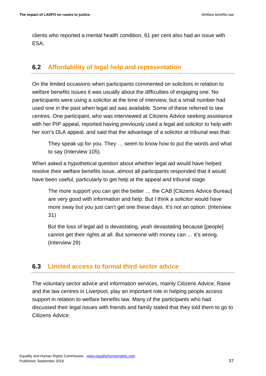clients who reported a mental health condition, 61 per cent also had an issue with ESA.

# <span id="page-36-0"></span>**6.2 Affordability of legal help and representation**

On the limited occasions when participants commented on solicitors in relation to welfare benefits issues it was usually about the difficulties of engaging one. No participants were using a solicitor at the time of interview, but a small number had used one in the past when legal aid was available. Some of these referred to law centres. One participant, who was interviewed at Citizens Advice seeking assistance with her PIP appeal, reported having previously used a legal aid solicitor to help with her son's DLA appeal, and said that the advantage of a solicitor at tribunal was that:

They speak up for you. They … seem to know how to put the words and what to say (Interview 105).

When asked a hypothetical question about whether legal aid would have helped resolve their welfare benefits issue, almost all participants responded that it would have been useful, particularly to get help at the appeal and tribunal stage.

The more support you can get the better … the CAB [Citizens Advice Bureau] are very good with information and help. But I think a solicitor would have more sway but you just can't get one these days. It's not an option. (Interview 31)

But the loss of legal aid is devastating, yeah devastating because [people] cannot get their rights at all. But someone with money can … it's wrong. (Interview 29)

# <span id="page-36-1"></span>**6.3 Limited access to formal third sector advice**

The voluntary sector advice and information services, mainly Citizens Advice, Raise and the law centres in Liverpool, play an important role in helping people access support in relation to welfare benefits law. Many of the participants who had discussed their legal issues with friends and family stated that they told them to go to Citizens Advice.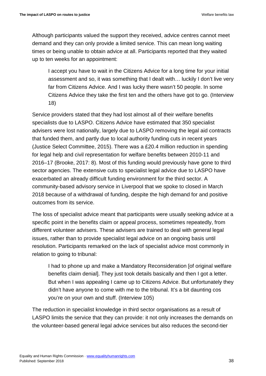Although participants valued the support they received, advice centres cannot meet demand and they can only provide a limited service. This can mean long waiting times or being unable to obtain advice at all. Participants reported that they waited up to ten weeks for an appointment:

I accept you have to wait in the Citizens Advice for a long time for your initial assessment and so, it was something that I dealt with… luckily I don't live very far from Citizens Advice. And I was lucky there wasn't 50 people. In some Citizens Advice they take the first ten and the others have got to go. (Interview 18)

Service providers stated that they had lost almost all of their welfare benefits specialists due to LASPO. Citizens Advice have estimated that 350 specialist advisers were lost nationally, largely due to LASPO removing the legal aid contracts that funded them, and partly due to local authority funding cuts in recent years (Justice Select Committee, 2015). There was a £20.4 million reduction in spending for legal help and civil representation for welfare benefits between 2010-11 and 2016–17 (Brooke, 2017: 8). Most of this funding would previously have gone to third sector agencies. The extensive cuts to specialist legal advice due to LASPO have exacerbated an already difficult funding environment for the third sector. A community-based advisory service in Liverpool that we spoke to closed in March 2018 because of a withdrawal of funding, despite the high demand for and positive outcomes from its service.

The loss of specialist advice meant that participants were usually seeking advice at a specific point in the benefits claim or appeal process, sometimes repeatedly, from different volunteer advisers. These advisers are trained to deal with general legal issues, rather than to provide specialist legal advice on an ongoing basis until resolution. Participants remarked on the lack of specialist advice most commonly in relation to going to tribunal:

I had to phone up and make a Mandatory Reconsideration [of original welfare benefits claim denial]. They just took details basically and then I got a letter. But when I was appealing I came up to Citizens Advice. But unfortunately they didn't have anyone to come with me to the tribunal. It's a bit daunting cos you're on your own and stuff. (Interview 105)

The reduction in specialist knowledge in third sector organisations as a result of LASPO limits the service that they can provide: it not only increases the demands on the volunteer-based general legal advice services but also reduces the second-tier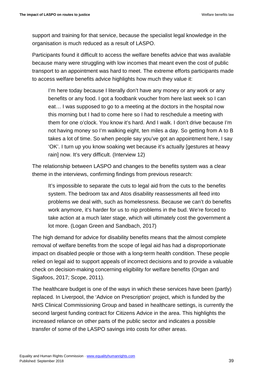support and training for that service, because the specialist legal knowledge in the organisation is much reduced as a result of LASPO.

Participants found it difficult to access the welfare benefits advice that was available because many were struggling with low incomes that meant even the cost of public transport to an appointment was hard to meet. The extreme efforts participants made to access welfare benefits advice highlights how much they value it:

I'm here today because I literally don't have any money or any work or any benefits or any food. I got a foodbank voucher from here last week so I can eat… I was supposed to go to a meeting at the doctors in the hospital now this morning but I had to come here so I had to reschedule a meeting with them for one o'clock. You know it's hard. And I walk. I don't drive because I'm not having money so I'm walking eight, ten miles a day. So getting from A to B takes a lot of time. So when people say you've got an appointment here, I say 'OK'. I turn up you know soaking wet because it's actually [gestures at heavy rain] now. It's very difficult. (Interview 12)

The relationship between LASPO and changes to the benefits system was a clear theme in the interviews, confirming findings from previous research:

It's impossible to separate the cuts to legal aid from the cuts to the benefits system. The bedroom tax and Atos disability reassessments all feed into problems we deal with, such as homelessness. Because we can't do benefits work anymore, it's harder for us to nip problems in the bud. We're forced to take action at a much later stage, which will ultimately cost the government a lot more. (Logan Green and Sandbach, 2017)

The high demand for advice for disability benefits means that the almost complete removal of welfare benefits from the scope of legal aid has had a disproportionate impact on disabled people or those with a long-term health condition. These people relied on legal aid to support appeals of incorrect decisions and to provide a valuable check on decision-making concerning eligibility for welfare benefits (Organ and Sigafoos, 2017; Scope, 2011).

The healthcare budget is one of the ways in which these services have been (partly) replaced. In Liverpool, the 'Advice on Prescription' project, which is funded by the NHS Clinical Commissioning Group and based in healthcare settings, is currently the second largest funding contract for Citizens Advice in the area. This highlights the increased reliance on other parts of the public sector and indicates a possible transfer of some of the LASPO savings into costs for other areas.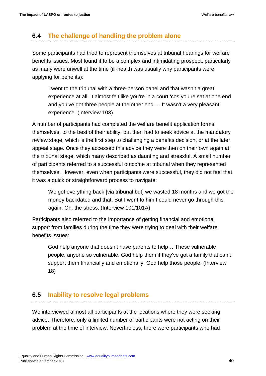### <span id="page-39-0"></span>**6.4 The challenge of handling the problem alone**

Some participants had tried to represent themselves at tribunal hearings for welfare benefits issues. Most found it to be a complex and intimidating prospect, particularly as many were unwell at the time (ill-health was usually why participants were applying for benefits):

I went to the tribunal with a three-person panel and that wasn't a great experience at all. It almost felt like you're in a court 'cos you're sat at one end and you've got three people at the other end … It wasn't a very pleasant experience. (Interview 103)

A number of participants had completed the welfare benefit application forms themselves, to the best of their ability, but then had to seek advice at the mandatory review stage, which is the first step to challenging a benefits decision, or at the later appeal stage. Once they accessed this advice they were then on their own again at the tribunal stage, which many described as daunting and stressful. A small number of participants referred to a successful outcome at tribunal when they represented themselves. However, even when participants were successful, they did not feel that it was a quick or straightforward process to navigate:

We got everything back [via tribunal but] we wasted 18 months and we got the money backdated and that. But I went to him I could never go through this again. Oh, the stress. (Interview 101/101A).

Participants also referred to the importance of getting financial and emotional support from families during the time they were trying to deal with their welfare benefits issues:

God help anyone that doesn't have parents to help… These vulnerable people, anyone so vulnerable. God help them if they've got a family that can't support them financially and emotionally. God help those people. (Interview 18)

# <span id="page-39-1"></span>**6.5 Inability to resolve legal problems**

We interviewed almost all participants at the locations where they were seeking advice. Therefore, only a limited number of participants were not acting on their problem at the time of interview. Nevertheless, there were participants who had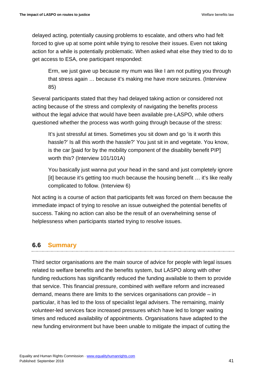delayed acting, potentially causing problems to escalate, and others who had felt forced to give up at some point while trying to resolve their issues. Even not taking action for a while is potentially problematic. When asked what else they tried to do to get access to ESA, one participant responded:

Erm, we just gave up because my mum was like I am not putting you through that stress again … because it's making me have more seizures. (Interview 85)

Several participants stated that they had delayed taking action or considered not acting because of the stress and complexity of navigating the benefits process without the legal advice that would have been available pre-LASPO, while others questioned whether the process was worth going through because of the stress:

It's just stressful at times. Sometimes you sit down and go 'is it worth this hassle?' Is all this worth the hassle?' You just sit in and vegetate. You know, is the car [paid for by the mobility component of the disability benefit PIP] worth this? (Interview 101/101A)

You basically just wanna put your head in the sand and just completely ignore [it] because it's getting too much because the housing benefit … it's like really complicated to follow. (Interview 6)

Not acting is a course of action that participants felt was forced on them because the immediate impact of trying to resolve an issue outweighed the potential benefits of success. Taking no action can also be the result of an overwhelming sense of helplessness when participants started trying to resolve issues.

# <span id="page-40-0"></span>**6.6 Summary**

Third sector organisations are the main source of advice for people with legal issues related to welfare benefits and the benefits system, but LASPO along with other funding reductions has significantly reduced the funding available to them to provide that service. This financial pressure, combined with welfare reform and increased demand, means there are limits to the services organisations can provide – in particular, it has led to the loss of specialist legal advisers. The remaining, mainly volunteer-led services face increased pressures which have led to longer waiting times and reduced availability of appointments. Organisations have adapted to the new funding environment but have been unable to mitigate the impact of cutting the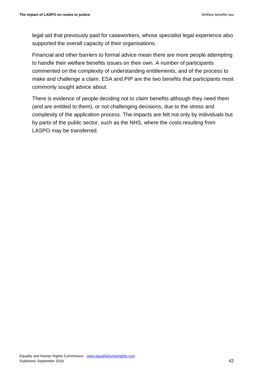legal aid that previously paid for caseworkers, whose specialist legal experience also supported the overall capacity of their organisations.

Financial and other barriers to formal advice mean there are more people attempting to handle their welfare benefits issues on their own. A number of participants commented on the complexity of understanding entitlements, and of the process to make and challenge a claim. ESA and PIP are the two benefits that participants most commonly sought advice about.

There is evidence of people deciding not to claim benefits although they need them (and are entitled to them), or not challenging decisions, due to the stress and complexity of the application process. The impacts are felt not only by individuals but by parts of the public sector, such as the NHS, where the costs resulting from LASPO may be transferred.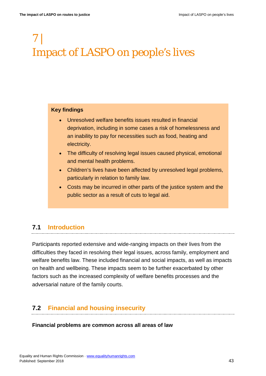# <span id="page-42-0"></span>7 | Impact of LASPO on people's lives

#### **Key findings**

- Unresolved welfare benefits issues resulted in financial deprivation, including in some cases a risk of homelessness and an inability to pay for necessities such as food, heating and electricity.
- The difficulty of resolving legal issues caused physical, emotional and mental health problems.
- Children's lives have been affected by unresolved legal problems, particularly in relation to family law.
- Costs may be incurred in other parts of the justice system and the public sector as a result of cuts to legal aid.

# <span id="page-42-1"></span>**7.1 Introduction**

Participants reported extensive and wide-ranging impacts on their lives from the difficulties they faced in resolving their legal issues, across family, employment and welfare benefits law. These included financial and social impacts, as well as impacts on health and wellbeing. These impacts seem to be further exacerbated by other factors such as the increased complexity of welfare benefits processes and the adversarial nature of the family courts.

# <span id="page-42-2"></span>**7.2 Financial and housing insecurity**

#### **Financial problems are common across all areas of law**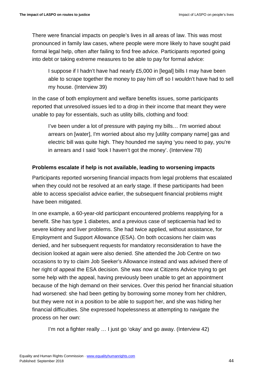There were financial impacts on people's lives in all areas of law. This was most pronounced in family law cases, where people were more likely to have sought paid formal legal help, often after failing to find free advice. Participants reported going into debt or taking extreme measures to be able to pay for formal advice:

I suppose if I hadn't have had nearly £5,000 in [legal] bills I may have been able to scrape together the money to pay him off so I wouldn't have had to sell my house. (Interview 39)

In the case of both employment and welfare benefits issues, some participants reported that unresolved issues led to a drop in their income that meant they were unable to pay for essentials, such as utility bills, clothing and food:

I've been under a lot of pressure with paying my bills… I'm worried about arrears on [water], I'm worried about also my [utility company name] gas and electric bill was quite high. They hounded me saying 'you need to pay, you're in arrears and I said 'look I haven't got the money'. (Interview 78)

### **Problems escalate if help is not available, leading to worsening impacts**

Participants reported worsening financial impacts from legal problems that escalated when they could not be resolved at an early stage. If these participants had been able to access specialist advice earlier, the subsequent financial problems might have been mitigated.

In one example, a 60-year-old participant encountered problems reapplying for a benefit. She has type 1 diabetes, and a previous case of septicaemia had led to severe kidney and liver problems. She had twice applied, without assistance, for Employment and Support Allowance (ESA). On both occasions her claim was denied, and her subsequent requests for mandatory reconsideration to have the decision looked at again were also denied. She attended the Job Centre on two occasions to try to claim Job Seeker's Allowance instead and was advised there of her right of appeal the ESA decision. She was now at Citizens Advice trying to get some help with the appeal, having previously been unable to get an appointment because of the high demand on their services. Over this period her financial situation had worsened: she had been getting by borrowing some money from her children, but they were not in a position to be able to support her, and she was hiding her financial difficulties. She expressed hopelessness at attempting to navigate the process on her own:

I'm not a fighter really … I just go 'okay' and go away. (Interview 42)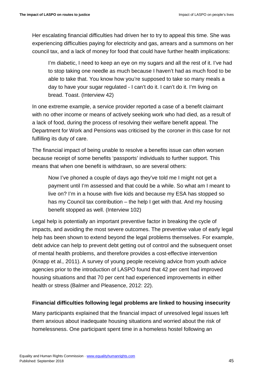Her escalating financial difficulties had driven her to try to appeal this time. She was experiencing difficulties paying for electricity and gas, arrears and a summons on her council tax, and a lack of money for food that could have further health implications:

I'm diabetic, I need to keep an eye on my sugars and all the rest of it. I've had to stop taking one needle as much because I haven't had as much food to be able to take that. You know how you're supposed to take so many meals a day to have your sugar regulated - I can't do it. I can't do it. I'm living on bread. Toast. (Interview 42)

In one extreme example, a service provider reported a case of a benefit claimant with no other income or means of actively seeking work who had died, as a result of a lack of food, during the process of resolving their welfare benefit appeal. The Department for Work and Pensions was criticised by the coroner in this case for not fulfilling its duty of care.

The financial impact of being unable to resolve a benefits issue can often worsen because receipt of some benefits 'passports' individuals to further support. This means that when one benefit is withdrawn, so are several others:

Now I've phoned a couple of days ago they've told me I might not get a payment until I'm assessed and that could be a while. So what am I meant to live on? I'm in a house with five kids and because my ESA has stopped so has my Council tax contribution – the help I get with that. And my housing benefit stopped as well. (Interview 102)

Legal help is potentially an important preventive factor in breaking the cycle of impacts, and avoiding the most severe outcomes. The preventive value of early legal help has been shown to extend beyond the legal problems themselves. For example, debt advice can help to prevent debt getting out of control and the subsequent onset of mental health problems, and therefore provides a cost-effective intervention (Knapp et al.*,* 2011). A survey of young people receiving advice from youth advice agencies prior to the introduction of LASPO found that 42 per cent had improved housing situations and that 70 per cent had experienced improvements in either health or stress (Balmer and Pleasence, 2012: 22).

### **Financial difficulties following legal problems are linked to housing insecurity**

Many participants explained that the financial impact of unresolved legal issues left them anxious about inadequate housing situations and worried about the risk of homelessness. One participant spent time in a homeless hostel following an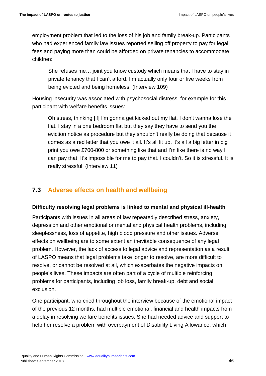employment problem that led to the loss of his job and family break-up. Participants who had experienced family law issues reported selling off property to pay for legal fees and paying more than could be afforded on private tenancies to accommodate children:

She refuses me… joint you know custody which means that I have to stay in private tenancy that I can't afford. I'm actually only four or five weeks from being evicted and being homeless. (Interview 109)

Housing insecurity was associated with psychosocial distress, for example for this participant with welfare benefits issues:

Oh stress, thinking [if] I'm gonna get kicked out my flat. I don't wanna lose the flat. I stay in a one bedroom flat but they say they have to send you the eviction notice as procedure but they shouldn't really be doing that because it comes as a red letter that you owe it all. It's all lit up, it's all a big letter in big print you owe £700-800 or something like that and I'm like there is no way I can pay that. It's impossible for me to pay that. I couldn't. So it is stressful. It is really stressful. (Interview 11)

# <span id="page-45-0"></span>**7.3 Adverse effects on health and wellbeing**

### **Difficulty resolving legal problems is linked to mental and physical ill-health**

Participants with issues in all areas of law repeatedly described stress, anxiety, depression and other emotional or mental and physical health problems, including sleeplessness, loss of appetite, high blood pressure and other issues. Adverse effects on wellbeing are to some extent an inevitable consequence of any legal problem. However, the lack of access to legal advice and representation as a result of LASPO means that legal problems take longer to resolve, are more difficult to resolve, or cannot be resolved at all, which exacerbates the negative impacts on people's lives. These impacts are often part of a cycle of multiple reinforcing problems for participants, including job loss, family break-up, debt and social exclusion.

One participant, who cried throughout the interview because of the emotional impact of the previous 12 months, had multiple emotional, financial and health impacts from a delay in resolving welfare benefits issues. She had needed advice and support to help her resolve a problem with overpayment of Disability Living Allowance, which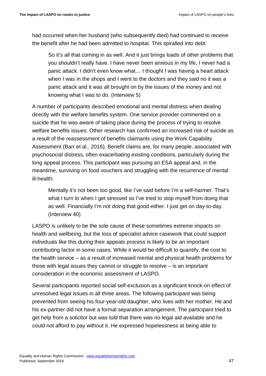had occurred when her husband (who subsequently died) had continued to receive the benefit after he had been admitted to hospital. This spiralled into debt:

So it's all that coming in as well. And it just brings loads of other problems that you shouldn't really have. I have never been anxious in my life, I never had a panic attack. I didn't even know what… I thought I was having a heart attack when I was in the shops and I went to the doctors and they said no it was a panic attack and it was all brought on by the issues of the money and not knowing what I was to do. (Interview 5)

A number of participants described emotional and mental distress when dealing directly with the welfare benefits system. One service provider commented on a suicide that he was aware of taking place during the process of trying to resolve welfare benefits issues. Other research has confirmed an increased risk of suicide as a result of the reassessment of benefits claimants using the Work Capability Assessment (Barr et al.*,* 2016). Benefit claims are, for many people, associated with psychosocial distress, often exacerbating existing conditions, particularly during the long appeal process. This participant was pursuing an ESA appeal and, in the meantime, surviving on food vouchers and struggling with the recurrence of mental ill-health:

Mentally it's not been too good, like I've said before I'm a self-harmer. That's what I turn to when I get stressed so I've tried to stop myself from doing that as well. Financially I'm not doing that good either. I just get on day-to-day. (Interview 40)

LASPO is unlikely to be the sole cause of these sometimes extreme impacts on health and wellbeing, but the loss of specialist advice casework that could support individuals like this during their appeals process is likely to be an important contributing factor in some cases. While it would be difficult to quantify, the cost to the health service – as a result of increased mental and physical health problems for those with legal issues they cannot or struggle to resolve – is an important consideration in the economic assessment of LASPO.

Several participants reported social self-exclusion as a significant knock-on effect of unresolved legal issues in all three areas. The following participant was being prevented from seeing his four-year-old daughter, who lives with her mother. He and his ex-partner did not have a formal separation arrangement. The participant tried to get help from a solicitor but was told that there was no legal aid available and he could not afford to pay without it. He expressed hopelessness at being able to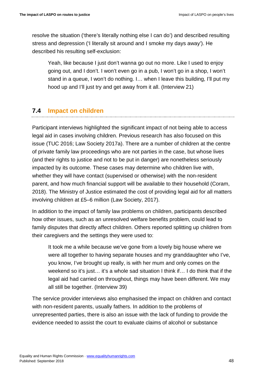resolve the situation ('there's literally nothing else I can do') and described resulting stress and depression ('I literally sit around and I smoke my days away'). He described his resulting self-exclusion:

Yeah, like because I just don't wanna go out no more. Like I used to enjoy going out, and I don't. I won't even go in a pub, I won't go in a shop, I won't stand in a queue, I won't do nothing. I… when I leave this building, I'll put my hood up and I'll just try and get away from it all. (Interview 21)

# <span id="page-47-0"></span>**7.4 Impact on children**

Participant interviews highlighted the significant impact of not being able to access legal aid in cases involving children. Previous research has also focused on this issue (TUC 2016; Law Society 2017a). There are a number of children at the centre of private family law proceedings who are not parties in the case, but whose lives (and their rights to justice and not to be put in danger) are nonetheless seriously impacted by its outcome. These cases may determine who children live with, whether they will have contact (supervised or otherwise) with the non-resident parent, and how much financial support will be available to their household (Coram, 2018). The Ministry of Justice estimated the cost of providing legal aid for all matters involving children at £5–6 million (Law Society, 2017).

In addition to the impact of family law problems on children, participants described how other issues, such as an unresolved welfare benefits problem, could lead to family disputes that directly affect children. Others reported splitting up children from their caregivers and the settings they were used to:

It took me a while because we've gone from a lovely big house where we were all together to having separate houses and my granddaughter who I've, you know, I've brought up really, is with her mum and only comes on the weekend so it's just… it's a whole sad situation I think if… I do think that if the legal aid had carried on throughout, things may have been different. We may all still be together. (Interview 39)

The service provider interviews also emphasised the impact on children and contact with non-resident parents, usually fathers. In addition to the problems of unrepresented parties, there is also an issue with the lack of funding to provide the evidence needed to assist the court to evaluate claims of alcohol or substance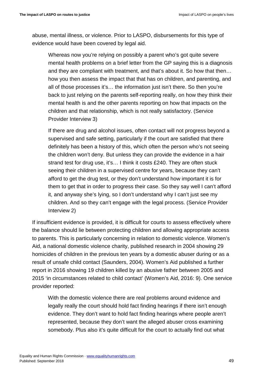abuse, mental illness, or violence. Prior to LASPO, disbursements for this type of evidence would have been covered by legal aid.

Whereas now you're relying on possibly a parent who's got quite severe mental health problems on a brief letter from the GP saying this is a diagnosis and they are compliant with treatment, and that's about it. So how that then… how you then assess the impact that that has on children, and parenting, and all of those processes it's… the information just isn't there. So then you're back to just relying on the parents self-reporting really, on how they think their mental health is and the other parents reporting on how that impacts on the children and that relationship, which is not really satisfactory. (Service Provider Interview 3)

If there are drug and alcohol issues, often contact will not progress beyond a supervised and safe setting, particularly if the court are satisfied that there definitely has been a history of this, which often the person who's not seeing the children won't deny. But unless they can provide the evidence in a hair strand test for drug use, it's… I think it costs £240. They are often stuck seeing their children in a supervised centre for years, because they can't afford to get the drug test, or they don't understand how important it is for them to get that in order to progress their case. So they say well I can't afford it, and anyway she's lying, so I don't understand why I can't just see my children. And so they can't engage with the legal process. (Service Provider Interview 2)

If insufficient evidence is provided, it is difficult for courts to assess effectively where the balance should lie between protecting children and allowing appropriate access to parents. This is particularly concerning in relation to domestic violence. Women's Aid, a national domestic violence charity, published research in 2004 showing 29 homicides of children in the previous ten years by a domestic abuser during or as a result of unsafe child contact (Saunders, 2004). Women's Aid published a further report in 2016 showing 19 children killed by an abusive father between 2005 and 2015 'in circumstances related to child contact' (Women's Aid, 2016: 9). One service provider reported:

With the domestic violence there are real problems around evidence and legally really the court should hold fact finding hearings if there isn't enough evidence. They don't want to hold fact finding hearings where people aren't represented, because they don't want the alleged abuser cross examining somebody. Plus also it's quite difficult for the court to actually find out what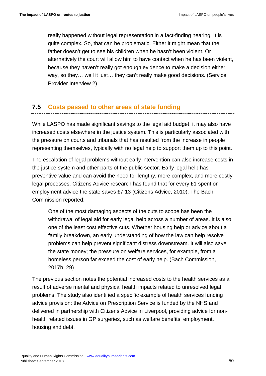really happened without legal representation in a fact-finding hearing. It is quite complex. So, that can be problematic. Either it might mean that the father doesn't get to see his children when he hasn't been violent. Or alternatively the court will allow him to have contact when he has been violent, because they haven't really got enough evidence to make a decision either way, so they… well it just… they can't really make good decisions. (Service Provider Interview 2)

# <span id="page-49-0"></span>**7.5 Costs passed to other areas of state funding**

While LASPO has made significant savings to the legal aid budget, it may also have increased costs elsewhere in the justice system. This is particularly associated with the pressure on courts and tribunals that has resulted from the increase in people representing themselves, typically with no legal help to support them up to this point.

The escalation of legal problems without early intervention can also increase costs in the justice system and other parts of the public sector. Early legal help has preventive value and can avoid the need for lengthy, more complex, and more costly legal processes. Citizens Advice research has found that for every £1 spent on employment advice the state saves £7.13 (Citizens Advice, 2010). The Bach Commission reported:

One of the most damaging aspects of the cuts to scope has been the withdrawal of legal aid for early legal help across a number of areas. It is also one of the least cost effective cuts. Whether housing help or advice about a family breakdown, an early understanding of how the law can help resolve problems can help prevent significant distress downstream. It will also save the state money; the pressure on welfare services, for example, from a homeless person far exceed the cost of early help. (Bach Commission, 2017b: 29)

The previous section notes the potential increased costs to the health services as a result of adverse mental and physical health impacts related to unresolved legal problems. The study also identified a specific example of health services funding advice provision: the Advice on Prescription Service is funded by the NHS and delivered in partnership with Citizens Advice in Liverpool, providing advice for nonhealth related issues in GP surgeries, such as welfare benefits, employment, housing and debt.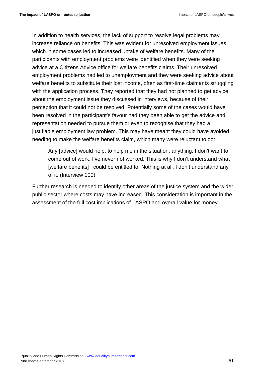In addition to health services, the lack of support to resolve legal problems may increase reliance on benefits. This was evident for unresolved employment issues, which in some cases led to increased uptake of welfare benefits. Many of the participants with employment problems were identified when they were seeking advice at a Citizens Advice office for welfare benefits claims. Their unresolved employment problems had led to unemployment and they were seeking advice about welfare benefits to substitute their lost income, often as first-time claimants struggling with the application process. They reported that they had not planned to get advice about the employment issue they discussed in interviews, because of their perception that it could not be resolved. Potentially some of the cases would have been resolved in the participant's favour had they been able to get the advice and representation needed to pursue them or even to recognise that they had a justifiable employment law problem. This may have meant they could have avoided needing to make the welfare benefits claim, which many were reluctant to do:

Any [advice] would help, to help me in the situation, anything. I don't want to come out of work. I've never not worked. This is why I don't understand what [welfare benefits] I could be entitled to. Nothing at all, I don't understand any of it. (Interview 100)

Further research is needed to identify other areas of the justice system and the wider public sector where costs may have increased. This consideration is important in the assessment of the full cost implications of LASPO and overall value for money.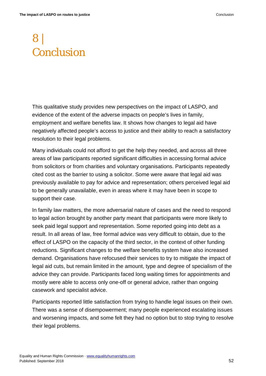# <span id="page-51-0"></span>8 | Conclusion

This qualitative study provides new perspectives on the impact of LASPO, and evidence of the extent of the adverse impacts on people's lives in family, employment and welfare benefits law. It shows how changes to legal aid have negatively affected people's access to justice and their ability to reach a satisfactory resolution to their legal problems.

Many individuals could not afford to get the help they needed, and across all three areas of law participants reported significant difficulties in accessing formal advice from solicitors or from charities and voluntary organisations. Participants repeatedly cited cost as the barrier to using a solicitor. Some were aware that legal aid was previously available to pay for advice and representation; others perceived legal aid to be generally unavailable, even in areas where it may have been in scope to support their case.

In family law matters, the more adversarial nature of cases and the need to respond to legal action brought by another party meant that participants were more likely to seek paid legal support and representation. Some reported going into debt as a result. In all areas of law, free formal advice was very difficult to obtain, due to the effect of LASPO on the capacity of the third sector, in the context of other funding reductions. Significant changes to the welfare benefits system have also increased demand. Organisations have refocused their services to try to mitigate the impact of legal aid cuts, but remain limited in the amount, type and degree of specialism of the advice they can provide. Participants faced long waiting times for appointments and mostly were able to access only one-off or general advice, rather than ongoing casework and specialist advice.

Participants reported little satisfaction from trying to handle legal issues on their own. There was a sense of disempowerment; many people experienced escalating issues and worsening impacts, and some felt they had no option but to stop trying to resolve their legal problems.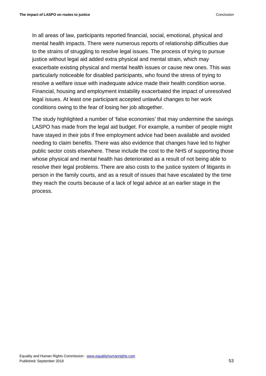In all areas of law, participants reported financial, social, emotional, physical and mental health impacts. There were numerous reports of relationship difficulties due to the strains of struggling to resolve legal issues. The process of trying to pursue justice without legal aid added extra physical and mental strain, which may exacerbate existing physical and mental health issues or cause new ones. This was particularly noticeable for disabled participants, who found the stress of trying to resolve a welfare issue with inadequate advice made their health condition worse. Financial, housing and employment instability exacerbated the impact of unresolved legal issues. At least one participant accepted unlawful changes to her work conditions owing to the fear of losing her job altogether.

The study highlighted a number of 'false economies' that may undermine the savings LASPO has made from the legal aid budget. For example, a number of people might have stayed in their jobs if free employment advice had been available and avoided needing to claim benefits. There was also evidence that changes have led to higher public sector costs elsewhere. These include the cost to the NHS of supporting those whose physical and mental health has deteriorated as a result of not being able to resolve their legal problems. There are also costs to the justice system of litigants in person in the family courts, and as a result of issues that have escalated by the time they reach the courts because of a lack of legal advice at an earlier stage in the process.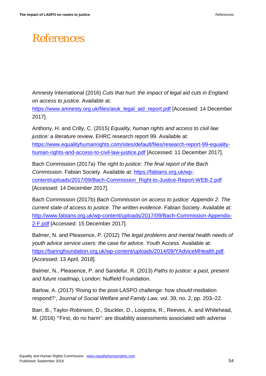# <span id="page-53-0"></span>References

Amnesty International (2016) *Cuts that hurt: the impact of legal aid cuts in England on access to justice*. Available at:

[https://www.amnesty.org.uk/files/aiuk\\_legal\\_aid\\_report.pdf](https://www.amnesty.org.uk/files/aiuk_legal_aid_report.pdf) [Accessed: 14 December 2017].

Anthony, H. and Crilly, C. (2015) *Equality, human rights and access to civil law justice: a literature review*. EHRC research report 99. Available at: [https://www.equalityhumanrights.com/sites/default/files/research-report-99-equality](https://www.equalityhumanrights.com/sites/default/files/research-report-99-equality-human-rights-and-access-to-civil-law-justice.pdf)[human-rights-and-access-to-civil-law-justice.pdf](https://www.equalityhumanrights.com/sites/default/files/research-report-99-equality-human-rights-and-access-to-civil-law-justice.pdf) [Accessed: 11 December 2017].

Bach Commission (2017a) *The right to justice: The final report of the Bach Commission*. Fabian Society. Available at: [https://fabians.org.uk/wp](https://fabians.org.uk/wp-content/uploads/2017/09/Bach-Commission_Right-to-Justice-Report-WEB-2.pdf)[content/uploads/2017/09/Bach-Commission\\_Right-to-Justice-Report-WEB-2.pdf](https://fabians.org.uk/wp-content/uploads/2017/09/Bach-Commission_Right-to-Justice-Report-WEB-2.pdf) [Accessed: 14 December 2017].

Bach Commission (2017b) *Bach Commission on access to justice: Appendix 2. The current state of access to justice. The written evidence*. Fabian Society. Available at: [http://www.fabians.org.uk/wp-content/uploads/2017/09/Bach-Commission-Appendix-](http://www.fabians.org.uk/wp-content/uploads/2017/09/Bach-Commission-Appendix-2-F.pdf)[2-F.pdf](http://www.fabians.org.uk/wp-content/uploads/2017/09/Bach-Commission-Appendix-2-F.pdf) [Accessed: 15 December 2017].

Balmer, N. and Pleasence, P. (2012) *The legal problems and mental health needs of youth advice service users: the case for advice*. Youth Access. Available at: [https://baringfoundation.org.uk/wp-content/uploads/2014/09/YAdviceMHealth.pdf.](https://baringfoundation.org.uk/wp-content/uploads/2014/09/YAdviceMHealth.pdf) [Accessed: 13 April, 2018].

Balmer, N., Pleasence, P. and Sandefur, R. (2013) *Paths to justice: a past, present and future roadmap*, London: Nuffield Foundation.

Barlow, A. (2017) 'Rising to the post-LASPO challenge: how *should* mediation respond?', *Journal of Social Welfare and Family Law,* vol. 39, no. 2, pp. 203–22.

Barr, B., Taylor-Robinson, D., Stuckler, D., Loopstra, R., Reeves, A. and Whitehead, M. (2016) '"First, do no harm": are disability assessments associated with adverse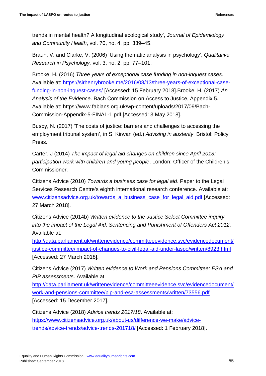trends in mental health? A longitudinal ecological study', *Journal of Epidemiology and Community Health*, vol. 70, no. 4, pp. 339–45.

Braun, V. and Clarke, V. (2006) 'Using thematic analysis in psychology', *Qualitative Research in Psychology,* vol. 3, no. 2, pp. 77–101.

Brooke, H. (2016) *Three years of exceptional case funding in non-inquest cases*. Available at: [https://sirhenrybrooke.me/2016/08/13/three-years-of-exceptional-case](https://sirhenrybrooke.me/2016/08/13/three-years-of-exceptional-case-funding-in-non-inquest-cases/)[funding-in-non-inquest-cases/](https://sirhenrybrooke.me/2016/08/13/three-years-of-exceptional-case-funding-in-non-inquest-cases/) [Accessed: 15 February 2018].Brooke, H. (2017) *An Analysis of the Evidence*. Bach Commission on Access to Justice, Appendix 5. Available at: https://www.fabians.org.uk/wp-content/uploads/2017/09/Bach-Commission-Appendix-5-FINAL-1.pdf [Accessed: 3 May 2018].

Busby, N. (2017) 'The costs of justice: barriers and challenges to accessing the employment tribunal system', in S. Kirwan (ed.) *Advising in austerity*, Bristol: Policy Press.

Carter, J (2014) *The impact of legal aid changes on children since April 2013: participation work with children and young people*, London: Officer of the Children's Commissioner.

Citizens Advice (2010) *Towards a business case for legal aid*. Paper to the Legal Services Research Centre's eighth international research conference. Available at: [www.citizensadvice.org.uk/towards\\_a\\_business\\_case\\_for\\_legal\\_aid.pdf](http://www.citizensadvice.org.uk/towards_a_business_case_for_legal_aid.pdf) [Accessed: 27 March 2018].

Citizens Advice (2014b) *Written evidence to the Justice Select Committee inquiry into the impact of the Legal Aid, Sentencing and Punishment of Offenders Act 2012*. Available at:

[http://data.parliament.uk/writtenevidence/committeeevidence.svc/evidencedocument/](http://data.parliament.uk/writtenevidence/committeeevidence.svc/evidencedocument/justice-committee/impact-of-changes-to-civil-legal-aid-under-laspo/written/8923.html) [justice-committee/impact-of-changes-to-civil-legal-aid-under-laspo/written/8923.html](http://data.parliament.uk/writtenevidence/committeeevidence.svc/evidencedocument/justice-committee/impact-of-changes-to-civil-legal-aid-under-laspo/written/8923.html) [Accessed: 27 March 2018].

Citizens Advice (2017) *Written evidence to Work and Pensions Committee: ESA and PIP assessments*. Available at:

[http://data.parliament.uk/writtenevidence/committeeevidence.svc/evidencedocument/](http://data.parliament.uk/writtenevidence/committeeevidence.svc/evidencedocument/work-and-pensions-committee/pip-and-esa-assessments/written/73556.pdf) [work-and-pensions-committee/pip-and-esa-assessments/written/73556.pdf](http://data.parliament.uk/writtenevidence/committeeevidence.svc/evidencedocument/work-and-pensions-committee/pip-and-esa-assessments/written/73556.pdf) [Accessed: 15 December 2017].

Citizens Advice (2018) *Advice trends 2017/18*. Available at: [https://www.citizensadvice.org.uk/about-us/difference-we-make/advice](https://www.citizensadvice.org.uk/about-us/difference-we-make/advice-trends/advice-trends/advice-trends-201718/)[trends/advice-trends/advice-trends-201718/](https://www.citizensadvice.org.uk/about-us/difference-we-make/advice-trends/advice-trends/advice-trends-201718/) [Accessed: 1 February 2018].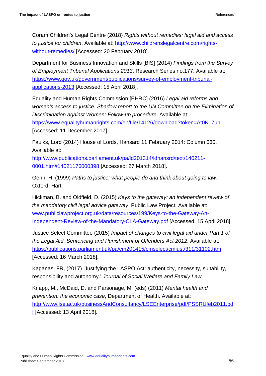Coram Children's Legal Centre (2018) *Rights without remedies: legal aid and access to justice for children*. Available at: [http://www.childrenslegalcentre.com/rights](http://www.childrenslegalcentre.com/rights-without-remedies/)[without-remedies/](http://www.childrenslegalcentre.com/rights-without-remedies/) [Accessed: 20 February 2018].

Department for Business Innovation and Skills [BIS] (2014) *Findings from the Survey of Employment Tribunal Applications 2013*. Research Series no.177. Available at: [https://www.gov.uk/government/publications/survey-of-employment-tribunal](https://www.gov.uk/government/publications/survey-of-employment-tribunal-applications-2013)[applications-2013](https://www.gov.uk/government/publications/survey-of-employment-tribunal-applications-2013) [Accessed: 15 April 2018].

Equality and Human Rights Commission [EHRC] (2016) *Legal aid reforms and women's access to justice. Shadow report to the UN Committee on the Elimination of Discrimination against Women: Follow-up procedure*. Available at: <https://www.equalityhumanrights.com/en/file/14126/download?token=At0KL7uh> [Accessed: 11 December 2017].

Faulks, Lord (2014) House of Lords, Hansard 11 February 2014: Column 530. Available at:

[http://www.publications.parliament.uk/pa/ld201314/ldhansrd/text/140211-](http://www.publications.parliament.uk/pa/ld201314/ldhansrd/text/140211-0001.htm#14021176000398) [0001.htm#14021176000398](http://www.publications.parliament.uk/pa/ld201314/ldhansrd/text/140211-0001.htm#14021176000398) [Accessed: 27 March 2018].

Genn, H. (1999) *Paths to justice: what people do and think about going to law*. Oxford: Hart.

Hickman, B. and Oldfield, D. (2015) *Keys to the gateway: an independent review of the mandatory civil legal advice gateway*. Public Law Project. Available at: [www.publiclawproject.org.uk/data/resources/199/Keys-to-the-Gateway-An-](http://www.publiclawproject.org.uk/data/resources/199/Keys-to-the-Gateway-An-Independent-Review-of-the-Mandatory-CLA-Gateway.pdf)[Independent-Review-of-the-Mandatory-CLA-Gateway.pdf](http://www.publiclawproject.org.uk/data/resources/199/Keys-to-the-Gateway-An-Independent-Review-of-the-Mandatory-CLA-Gateway.pdf) [Accessed: 15 April 2018].

Justice Select Committee (2015) *Impact of changes to civil legal aid under Part 1 of the Legal Aid, Sentencing and Punishment of Offenders Act 2012*. Available at: <https://publications.parliament.uk/pa/cm201415/cmselect/cmjust/311/31102.htm> [Accessed: 16 March 2018].

Kaganas, FR, (2017) 'Justifying the LASPO Act: authenticity, necessity, suitability, responsibility and autonomy.' *Journal of Social Welfare and Family Law.*

Knapp, M., McDaid, D. and Parsonage, M. (eds) (2011) *Mental health and prevention: the economic case*, Department of Health. Available at: [http://www.lse.ac.uk/businessAndConsultancy/LSEEnterprise/pdf/PSSRUfeb2011.pd](http://www.lse.ac.uk/businessAndConsultancy/LSEEnterprise/pdf/PSSRUfeb2011.pdf) [f](http://www.lse.ac.uk/businessAndConsultancy/LSEEnterprise/pdf/PSSRUfeb2011.pdf) [Accessed: 13 April 2018].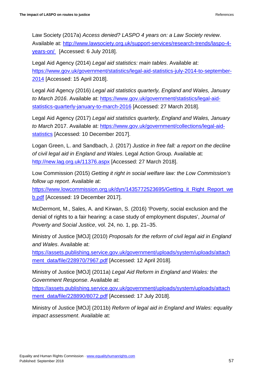Law Society (2017a) *Access denied? LASPO 4 years on: a Law Society review*. Available at: [http://www.lawsociety.org.uk/support-services/research-trends/laspo-4](http://www.lawsociety.org.uk/support-services/research-trends/laspo-4-years-on/) [years-on/](http://www.lawsociety.org.uk/support-services/research-trends/laspo-4-years-on/) [Accessed: 6 July 2018].

Legal Aid Agency (2014) *Legal aid statistics: main tables*. Available at: [https://www.gov.uk/government/statistics/legal-aid-statistics-july-2014-to-september-](https://www.gov.uk/government/statistics/legal-aid-statistics-july-2014-to-september-2014)[2014](https://www.gov.uk/government/statistics/legal-aid-statistics-july-2014-to-september-2014) [Accessed: 15 April 2018].

Legal Aid Agency (2016) *Legal aid statistics quarterly, England and Wales, January to March 2016*. Available at: [https://www.gov.uk/government/statistics/legal-aid](https://www.gov.uk/government/statistics/legal-aid-statistics-quarterly-january-to-march-2016)[statistics-quarterly-january-to-march-2016](https://www.gov.uk/government/statistics/legal-aid-statistics-quarterly-january-to-march-2016) [Accessed: 27 March 2018].

Legal Aid Agency (2017) *Legal aid statistics quarterly, England and Wales, January to March* 2017. Available at: [https://www.gov.uk/government/collections/legal-aid](https://www.gov.uk/government/collections/legal-aid-statistics)[statistics](https://www.gov.uk/government/collections/legal-aid-statistics) [Accessed: 10 December 2017].

Logan Green, L. and Sandbach, J. (2017) *Justice in free fall: a report on the decline of civil legal aid in England and Wales*. Legal Action Group. Available at: <http://new.lag.org.uk/11376.aspx> [Accessed: 27 March 2018].

Low Commission (2015) *Getting it right in social welfare law: the Low Commission's follow up report*. Available at:

[https://www.lowcommission.org.uk/dyn/1435772523695/Getting\\_it\\_Right\\_Report\\_we](https://www.lowcommission.org.uk/dyn/1435772523695/Getting_it_Right_Report_web.pdf) [b.pdf](https://www.lowcommission.org.uk/dyn/1435772523695/Getting_it_Right_Report_web.pdf) [Accessed: 19 December 2017].

McDermont, M., Sales, A. and Kirwan, S. (2016) 'Poverty, social exclusion and the denial of rights to a fair hearing: a case study of employment disputes', *Journal of Poverty and Social Justice*, vol. 24, no. 1, pp. 21–35.

Ministry of Justice [MOJ] (2010) *Proposals for the reform of civil legal aid in England and Wales*. Available at:

[https://assets.publishing.service.gov.uk/government/uploads/system/uploads/attach](https://assets.publishing.service.gov.uk/government/uploads/system/uploads/attachment_data/file/228970/7967.pdf) [ment\\_data/file/228970/7967.pdf](https://assets.publishing.service.gov.uk/government/uploads/system/uploads/attachment_data/file/228970/7967.pdf) [Accessed: 12 April 2018].

Ministry of Justice [MOJ] (2011a) *Legal Aid Reform in England and Wales: the Government Response*. Available at:

[https://assets.publishing.service.gov.uk/government/uploads/system/uploads/attach](https://assets.publishing.service.gov.uk/government/uploads/system/uploads/attachment_data/file/228890/8072.pdf) [ment\\_data/file/228890/8072.pdf](https://assets.publishing.service.gov.uk/government/uploads/system/uploads/attachment_data/file/228890/8072.pdf) [Accessed: 17 July 2018].

Ministry of Justice [MOJ] (2011b) *Reform of legal aid in England and Wales: equality impact assessment*. Available at: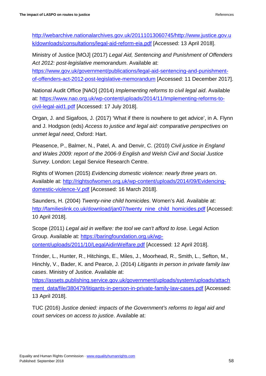[http://webarchive.nationalarchives.gov.uk/20111013060745/http://www.justice.gov.u](http://webarchive.nationalarchives.gov.uk/20111013060745/http:/www.justice.gov.uk/downloads/consultations/legal-aid-reform-eia.pdf) [k/downloads/consultations/legal-aid-reform-eia.pdf](http://webarchive.nationalarchives.gov.uk/20111013060745/http:/www.justice.gov.uk/downloads/consultations/legal-aid-reform-eia.pdf) [Accessed: 13 April 2018].

Ministry of Justice [MOJ] (2017) *Legal Aid, Sentencing and Punishment of Offenders Act 2012: post-legislative memorandum*. Available at:

[https://www.gov.uk/government/publications/legal-aid-sentencing-and-punishment](https://www.gov.uk/government/publications/legal-aid-sentencing-and-punishment-of-offenders-act-2012-post-legislative-memorandum)[of-offenders-act-2012-post-legislative-memorandum](https://www.gov.uk/government/publications/legal-aid-sentencing-and-punishment-of-offenders-act-2012-post-legislative-memorandum) [Accessed: 11 December 2017].

National Audit Office [NAO] (2014) *Implementing reforms to civil legal aid*. Available at: [https://www.nao.org.uk/wp-content/uploads/2014/11/Implementing-reforms-to](https://www.nao.org.uk/wp-content/uploads/2014/11/Implementing-reforms-to-civil-legal-aid1.pdf)[civil-legal-aid1.pdf](https://www.nao.org.uk/wp-content/uploads/2014/11/Implementing-reforms-to-civil-legal-aid1.pdf) [Accessed: 17 July 2018].

Organ, J. and Sigafoos, J. (2017) 'What if there is nowhere to get advice', in A. Flynn and J. Hodgson (eds) *Access to justice and legal aid: comparative perspectives on unmet legal need*, Oxford: Hart.

Pleasence, P., Balmer, N., Patel, A. and Denvir, C. (2010) *Civil justice in England and Wales 2009: report of the 2006-9 English and Welsh Civil and Social Justice Survey*. London: Legal Service Research Centre.

Rights of Women (2015) *Evidencing domestic violence: nearly three years on*. Available at: [http://rightsofwomen.org.uk/wp-content/uploads/2014/09/Evidencing](http://rightsofwomen.org.uk/wp-content/uploads/2014/09/Evidencing-domestic-violence-V.pdf)[domestic-violence-V.pdf](http://rightsofwomen.org.uk/wp-content/uploads/2014/09/Evidencing-domestic-violence-V.pdf) [Accessed: 16 March 2018].

Saunders, H. (2004) *Twenty-nine child homicides*. Women's Aid. Available at: [http://familieslink.co.uk/download/jan07/twenty\\_nine\\_child\\_homicides.pdf](http://familieslink.co.uk/download/jan07/twenty_nine_child_homicides.pdf) [Accessed: 10 April 2018].

Scope (2011) *Legal aid in welfare: the tool we can't afford to lose*. Legal Action Group. Available at: [https://baringfoundation.org.uk/wp](https://baringfoundation.org.uk/wp-content/uploads/2011/10/LegalAidinWelfare.pdf)[content/uploads/2011/10/LegalAidinWelfare.pdf](https://baringfoundation.org.uk/wp-content/uploads/2011/10/LegalAidinWelfare.pdf) [Accessed: 12 April 2018].

Trinder, L., Hunter, R., Hitchings, E., Miles, J., Moorhead, R., Smith, L., Sefton, M., Hinchly, V., Bader, K. and Pearce, J. (2014) *Litigants in person in private family law cases*. Ministry of Justice. Available at:

[https://assets.publishing.service.gov.uk/government/uploads/system/uploads/attach](https://assets.publishing.service.gov.uk/government/uploads/system/uploads/attachment_data/file/380479/litigants-in-person-in-private-family-law-cases.pdf) [ment\\_data/file/380479/litigants-in-person-in-private-family-law-cases.pdf](https://assets.publishing.service.gov.uk/government/uploads/system/uploads/attachment_data/file/380479/litigants-in-person-in-private-family-law-cases.pdf) [Accessed: 13 April 2018].

TUC (2016) *Justice denied: impacts of the Government's reforms to legal aid and court services on access to justice*. Available at: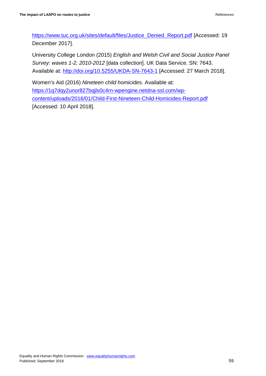[https://www.tuc.org.uk/sites/default/files/Justice\\_Denied\\_Report.pdf](https://www.tuc.org.uk/sites/default/files/Justice_Denied_Report.pdf) [Accessed: 19 December 2017].

University College London (2015) *English and Welsh Civil and Social Justice Panel Survey: waves 1-2, 2010-2012* [data collection]. UK Data Service. SN: 7643. Available at:<http://doi.org/10.5255/UKDA-SN-7643-1> [Accessed: 27 March 2018].

Women's Aid (2016) *Nineteen child homicides*. Available at: [https://1q7dqy2unor827bqjls0c4rn-wpengine.netdna-ssl.com/wp](https://1q7dqy2unor827bqjls0c4rn-wpengine.netdna-ssl.com/wp-content/uploads/2016/01/Child-First-Nineteen-Child-Homicides-Report.pdf)[content/uploads/2016/01/Child-First-Nineteen-Child-Homicides-Report.pdf](https://1q7dqy2unor827bqjls0c4rn-wpengine.netdna-ssl.com/wp-content/uploads/2016/01/Child-First-Nineteen-Child-Homicides-Report.pdf) [Accessed: 10 April 2018].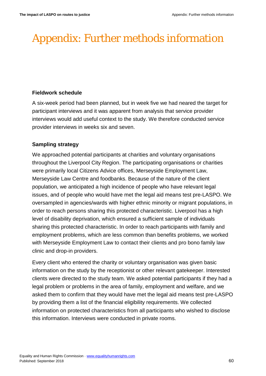# <span id="page-59-0"></span>Appendix: Further methods information

#### **Fieldwork schedule**

A six-week period had been planned, but in week five we had neared the target for participant interviews and it was apparent from analysis that service provider interviews would add useful context to the study. We therefore conducted service provider interviews in weeks six and seven.

### **Sampling strategy**

We approached potential participants at charities and voluntary organisations throughout the Liverpool City Region. The participating organisations or charities were primarily local Citizens Advice offices, Merseyside Employment Law, Merseyside Law Centre and foodbanks. Because of the nature of the client population, we anticipated a high incidence of people who have relevant legal issues, and of people who would have met the legal aid means test pre-LASPO. We oversampled in agencies/wards with higher ethnic minority or migrant populations, in order to reach persons sharing this protected characteristic. Liverpool has a high level of disability deprivation, which ensured a sufficient sample of individuals sharing this protected characteristic. In order to reach participants with family and employment problems, which are less common than benefits problems, we worked with Merseyside Employment Law to contact their clients and pro bono family law clinic and drop-in providers.

Every client who entered the charity or voluntary organisation was given basic information on the study by the receptionist or other relevant gatekeeper. Interested clients were directed to the study team. We asked potential participants if they had a legal problem or problems in the area of family, employment and welfare, and we asked them to confirm that they would have met the legal aid means test pre-LASPO by providing them a list of the financial eligibility requirements. We collected information on protected characteristics from all participants who wished to disclose this information. Interviews were conducted in private rooms.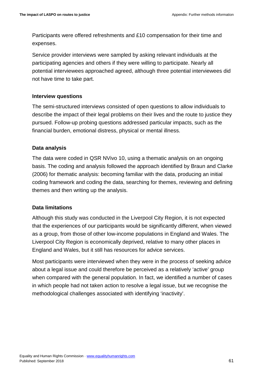Participants were offered refreshments and £10 compensation for their time and expenses.

Service provider interviews were sampled by asking relevant individuals at the participating agencies and others if they were willing to participate. Nearly all potential interviewees approached agreed, although three potential interviewees did not have time to take part.

#### **Interview questions**

The semi-structured interviews consisted of open questions to allow individuals to describe the impact of their legal problems on their lives and the route to justice they pursued. Follow-up probing questions addressed particular impacts, such as the financial burden, emotional distress, physical or mental illness.

### **Data analysis**

The data were coded in QSR NVivo 10, using a thematic analysis on an ongoing basis. The coding and analysis followed the approach identified by Braun and Clarke (2006) for thematic analysis: becoming familiar with the data, producing an initial coding framework and coding the data, searching for themes, reviewing and defining themes and then writing up the analysis.

### **Data limitations**

Although this study was conducted in the Liverpool City Region, it is not expected that the experiences of our participants would be significantly different, when viewed as a group, from those of other low-income populations in England and Wales. The Liverpool City Region is economically deprived, relative to many other places in England and Wales, but it still has resources for advice services.

Most participants were interviewed when they were in the process of seeking advice about a legal issue and could therefore be perceived as a relatively 'active' group when compared with the general population. In fact, we identified a number of cases in which people had not taken action to resolve a legal issue, but we recognise the methodological challenges associated with identifying 'inactivity'.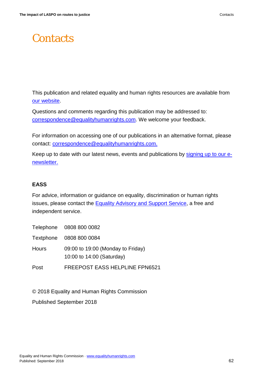# <span id="page-61-0"></span>**Contacts**

This publication and related equality and human rights resources are available from [our website.](http://www.equalityhumanrights.com/)

Questions and comments regarding this publication may be addressed to: [correspondence@equalityhumanrights.com.](mailto:correspondence@equalityhumanrights.com) We welcome your feedback.

For information on accessing one of our publications in an alternative format, please contact: [correspondence@equalityhumanrights.com.](mailto:correspondence@equalityhumanrights.com)

Keep up to date with our latest news, events and publications by [signing up to our e](https://www.equalityhumanrights.com/en/newsletter-sign)[newsletter.](https://www.equalityhumanrights.com/en/newsletter-sign)

#### **EASS**

For advice, information or guidance on equality, discrimination or human rights issues, please contact the **Equality Advisory and Support Service**, a free and independent service.

|       | Telephone 0808 800 0082                                        |
|-------|----------------------------------------------------------------|
|       | Textphone 0808 800 0084                                        |
| Hours | 09:00 to 19:00 (Monday to Friday)<br>10:00 to 14:00 (Saturday) |
| Post  | <b>FREEPOST EASS HELPLINE FPN6521</b>                          |

© 2018 Equality and Human Rights Commission

Published September 2018